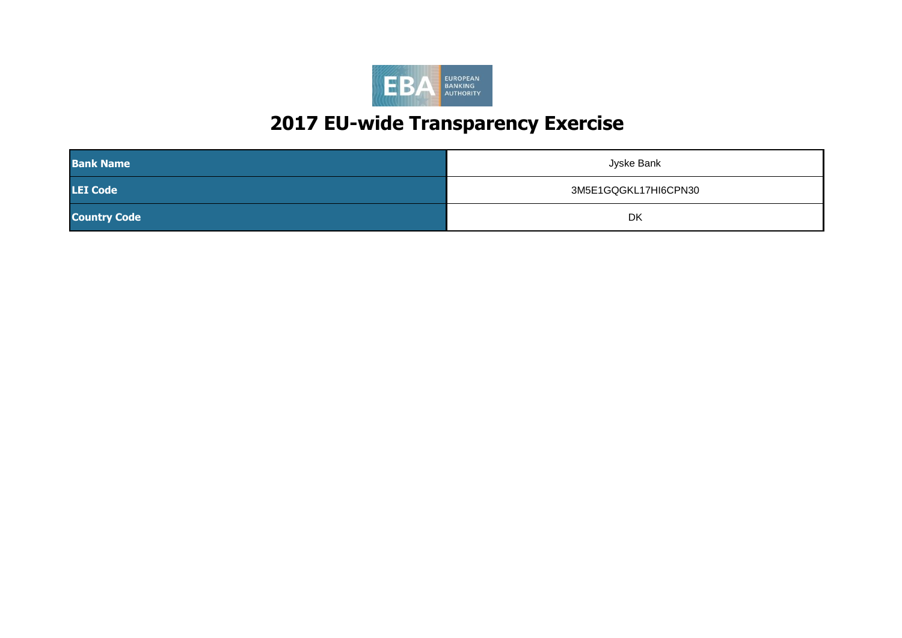

| <b>Bank Name</b>    | Jyske Bank           |
|---------------------|----------------------|
| <b>LEI Code</b>     | 3M5E1GQGKL17HI6CPN30 |
| <b>Country Code</b> | DK                   |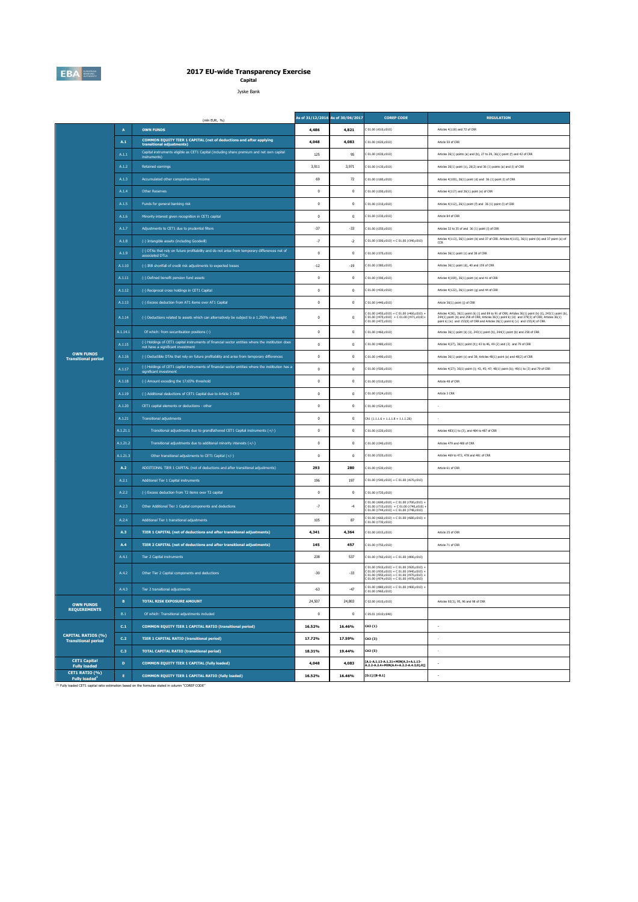

**Capital** Jyske Bank

|                                                         |                           | (mln EUR. %)                                                                                                                           |              | As of 31/12/2016 As of 30/06/2017 | <b>COREP CODE</b>                                                                                                                                                                       | <b>REGULATION</b>                                                                                                                                                                                                                                                                                       |
|---------------------------------------------------------|---------------------------|----------------------------------------------------------------------------------------------------------------------------------------|--------------|-----------------------------------|-----------------------------------------------------------------------------------------------------------------------------------------------------------------------------------------|---------------------------------------------------------------------------------------------------------------------------------------------------------------------------------------------------------------------------------------------------------------------------------------------------------|
|                                                         | $\boldsymbol{\mathsf{A}}$ | <b>OWN FUNDS</b>                                                                                                                       | 4,486        | 4,821                             | : 01.00 (r010, c010)                                                                                                                                                                    | Articles 4(118) and 72 of CRR                                                                                                                                                                                                                                                                           |
|                                                         | A.1                       | COMMON EQUITY TIER 1 CAPITAL (net of deductions and after applying<br>transitional adjustments)                                        | 4,048        | 4,083                             | 01.00 (r020,c010)                                                                                                                                                                       | Article 50 of CRR                                                                                                                                                                                                                                                                                       |
|                                                         | A.1.1                     | Capital instruments eligible as CET1 Capital (including share premium and net own capital<br>instruments)                              | 125          | 95                                | C 01.00 (r030,c010)                                                                                                                                                                     | Articles 26(1) points (a) and (b), 27 to 29, 36(1) point (f) and 42 of CRR                                                                                                                                                                                                                              |
|                                                         | A.1.2                     | <b>Retained earnings</b>                                                                                                               | 3,911        | 3,971                             | C 01.00 (r130,c010)                                                                                                                                                                     | Articles 26(1) point (c), 26(2) and 36 (1) points (a) and (f) of CRR                                                                                                                                                                                                                                    |
|                                                         | A.1.3                     | Accumulated other comprehensive income                                                                                                 | 69           | $72\,$                            | C 01.00 (r180,c010)                                                                                                                                                                     | Articles 4(100), 26(1) point (d) and 36 (1) point (l) of CRR                                                                                                                                                                                                                                            |
|                                                         | A.1.4                     | <b>Other Reserves</b>                                                                                                                  | $\mathbf{0}$ | $\mathbf{0}$                      | 01.00 (r200,c010)                                                                                                                                                                       | Articles 4(117) and 26(1) point (e) of CRR                                                                                                                                                                                                                                                              |
|                                                         | A.1.5                     | Funds for general banking risk                                                                                                         | $\mathbf 0$  | $\bf 0$                           | 01.00 (r210, c010)                                                                                                                                                                      | Articles 4(112), 26(1) point (f) and 36 (1) point (l) of CRR                                                                                                                                                                                                                                            |
|                                                         | A.1.6                     | Minority interest given recognition in CET1 capital                                                                                    | $\mathbf 0$  | $\bf{0}$                          | 01.00 (r230,c010)                                                                                                                                                                       | Article 84 of CRR                                                                                                                                                                                                                                                                                       |
|                                                         | A.1.7                     | Adjustments to CET1 due to prudential filters                                                                                          | $-37$        | $-33$                             | C 01.00 (r250,c010)                                                                                                                                                                     | Articles 32 to 35 of and 36 (1) point (I) of CRR                                                                                                                                                                                                                                                        |
|                                                         | $A.1.8$                   | (-) Intangible assets (including Goodwill)                                                                                             | $-7$         | $-2$                              | C 01.00 (r300,c010) + C 01.00 (r340,c010)                                                                                                                                               | Articles 4(113), 36(1) point (b) and 37 of CRR. Articles 4(115), 36(1) point (b) and 37 point (a) of<br>CCR                                                                                                                                                                                             |
|                                                         | A.1.9                     | (-) DTAs that rely on future profitability and do not arise from temporary differences net of<br>associated DTLs                       | $\mathbf 0$  | $\bf 0$                           | C 01.00 (r370,c010)                                                                                                                                                                     | Articles 36(1) point (c) and 38 of CRR                                                                                                                                                                                                                                                                  |
|                                                         | A.1.10                    | (-) IRB shortfall of credit risk adjustments to expected losses                                                                        | $-12$        | $-19$                             | C 01.00 (r380,c010)                                                                                                                                                                     | Articles 36(1) point (d), 40 and 159 of CRR                                                                                                                                                                                                                                                             |
|                                                         | A.1.11                    | (-) Defined benefit pension fund assets                                                                                                | $\mathbf 0$  | $\bf 0$                           | 01.00 (r390,c010)                                                                                                                                                                       | Articles 4(109), 36(1) point (e) and 41 of CRR                                                                                                                                                                                                                                                          |
|                                                         | A.1.12                    | (-) Reciprocal cross holdings in CET1 Capital                                                                                          | $\mathbf 0$  | $\bf{0}$                          | 01.00 (r430,c010)                                                                                                                                                                       | Articles 4(122), 36(1) point (g) and 44 of CRR                                                                                                                                                                                                                                                          |
|                                                         | A.1.13                    | (-) Excess deduction from AT1 items over AT1 Capital                                                                                   | $\mathbf 0$  | $\mathbf{0}$                      | C 01.00 (r440,c010)                                                                                                                                                                     | Article 36(1) point (j) of CRR                                                                                                                                                                                                                                                                          |
|                                                         | A.1.14                    | (-) Deductions related to assets which can alternatively be subject to a 1.250% risk weight                                            | $\mathbf 0$  | $\bf{0}$                          | $01.00$ (r450,c010) + C 01.00 (r460,c010) +<br>: 01.00 (r470,c010) + C 01.00 (r471,c010)+<br>: 01.00 (r472,c010)                                                                        | Articles 4(36), 36(1) point (k) (i) and 89 to 91 of CRR; Articles 36(1) point (k) (i), 243(1) point (b),<br>244(1) point (b) and 258 of CRR; Articles $36(1)$ point k) (ii) and $379(3)$ of CRR; Articles $36(1)$ point k) (ii) and $379(3)$ of CRR; Articles $36(1)$ point k) (v) and $155(4)$ of CRR. |
|                                                         | A.1.14.1                  | Of which: from securitisation positions (-)                                                                                            | $\mathbf 0$  | $\bf{0}$                          | 01.00 (r460,c010)                                                                                                                                                                       | Articles 36(1) point (k) (ii), 243(1) point (b), 244(1) point (b) and 258 of CRR                                                                                                                                                                                                                        |
|                                                         | A.1.15                    | (-) Holdings of CET1 capital instruments of financial sector entities where the institiution does<br>not have a significant investment | $\bf{0}$     | $\mathbf{0}$                      | 01.00 (r480.c010)                                                                                                                                                                       | Articles 4(27), 36(1) point (h); 43 to 46, 49 (2) and (3) and 79 of CRR                                                                                                                                                                                                                                 |
| <b>OWN FUNDS</b><br><b>Transitional period</b>          | A.1.16                    | (-) Deductible DTAs that rely on future profitability and arise from temporary differences                                             | $\mathbf{0}$ | $\mathbf{0}$                      | 01.00 (r490.c010)                                                                                                                                                                       | Articles 36(1) point (c) and 38: Articles 48(1) point (a) and 48(2) of CRR                                                                                                                                                                                                                              |
|                                                         | A.1.17                    | (-) Holdings of CET1 capital instruments of financial sector entities where the institiution has a<br>significant investment           | $\mathbf 0$  | $\bf 0$                           | C 01.00 (r500,c010)                                                                                                                                                                     | Articles 4(27); 36(1) point (i); 43, 45; 47; 48(1) point (b); 49(1) to (3) and 79 of CRR                                                                                                                                                                                                                |
|                                                         | A.1.18                    | (-) Amount exceding the 17.65% threshold                                                                                               | $\mathbf 0$  | $\bf{0}$                          | C 01.00 (r510,c010)                                                                                                                                                                     | Article 48 of CRR                                                                                                                                                                                                                                                                                       |
|                                                         | A.1.19                    | (-) Additional deductions of CET1 Capital due to Article 3 CRR                                                                         | $\mathbf{0}$ | $\mathbf{0}$                      | 01.00 (r524,c010)                                                                                                                                                                       | Article 3 CRR                                                                                                                                                                                                                                                                                           |
|                                                         | A.1.20                    | CET1 capital elements or deductions - other                                                                                            | $\mathbf 0$  | $\bf 0$                           | 01.00 (r529,c010)                                                                                                                                                                       |                                                                                                                                                                                                                                                                                                         |
|                                                         | A.1.21                    | <b>Transitional adjustments</b>                                                                                                        | $\mathbf 0$  | $\bf{0}$                          | $CA1(1.1.1.6 + 1.1.1.8 + 1.1.1.26)$                                                                                                                                                     |                                                                                                                                                                                                                                                                                                         |
|                                                         | A.1.21.1                  | Transitional adjustments due to grandfathered CET1 Capital instruments (+/-)                                                           | $\mathbf{0}$ | $\mathbf{0}$                      | C 01.00 (r220,c010)                                                                                                                                                                     | Articles 483(1) to (3), and 484 to 487 of CRR                                                                                                                                                                                                                                                           |
|                                                         | A.1.21.2                  | Transitional adjustments due to additional minority interests (+/-)                                                                    | $\mathbf 0$  | $\bf 0$                           | C 01.00 (r240,c010)                                                                                                                                                                     | Articles 479 and 480 of CRR                                                                                                                                                                                                                                                                             |
|                                                         | A.1.21.3                  | Other transitional adjustments to CET1 Capital (+/-)                                                                                   | $\mathbf 0$  | $\bf 0$                           | C 01.00 (r520,c010)                                                                                                                                                                     | Articles 469 to 472, 478 and 481 of CRR                                                                                                                                                                                                                                                                 |
|                                                         | A.2                       | ADDITIONAL TIER 1 CAPITAL (net of deductions and after transitional adjustments)                                                       | 293          | 280                               | 01.00 (r530,c010)                                                                                                                                                                       | Article 61 of CRR                                                                                                                                                                                                                                                                                       |
|                                                         | A.2.1                     | Additional Tier 1 Capital instruments                                                                                                  | 196          | 197                               | 01.00 (r540,c010) + C 01.00 (r670,c010)                                                                                                                                                 |                                                                                                                                                                                                                                                                                                         |
|                                                         | A.2.2                     | (-) Excess deduction from T2 items over T2 capital                                                                                     | $\mathbf 0$  | $\bf{0}$                          | 01.00 (r720,c010)                                                                                                                                                                       |                                                                                                                                                                                                                                                                                                         |
|                                                         | A.2.3                     | Other Additional Tier 1 Capital components and deductions                                                                              | $-7$         | $-4$                              | $(01.00 (r690, c010) + C 01.00 (r700, c010) + (01.00 (r710, c010) + C 01.00 (r740, c010))$<br>01.00 (r744,c010) + C 01.00 (r748,c010)                                                   |                                                                                                                                                                                                                                                                                                         |
|                                                         | A.2.4                     | Additional Tier 1 transitional adjustments                                                                                             | 105          | 87                                | C 01.00 (r660,c010) + C 01.00 (r680,c010) ·<br>C 01.00 (r730,c010)                                                                                                                      |                                                                                                                                                                                                                                                                                                         |
|                                                         | A.3                       | TIER 1 CAPITAL (net of deductions and after transitional adjustments)                                                                  | 4,341        | 4,364                             | 01.00 (r015,c010)                                                                                                                                                                       | Article 25 of CRR                                                                                                                                                                                                                                                                                       |
|                                                         | A.4                       | <b>TIER 2 CAPITAL (net of deductions and after transitional adjustments)</b>                                                           | 145          | 457                               | 01.00 (r750,c010)                                                                                                                                                                       | Article 71 of CRR                                                                                                                                                                                                                                                                                       |
|                                                         | A.4.1                     | Tier 2 Capital instruments                                                                                                             | 238          | 537                               | 01.00 (r760,c010) + C 01.00 (r890,c010)                                                                                                                                                 |                                                                                                                                                                                                                                                                                                         |
|                                                         | A.4.2                     | Other Tier 2 Capital components and deductions                                                                                         | $-30$        | $-33$                             | $201.00 (r910, c010) + C 01.00 (r920, c010) +$<br>: 01.00 (r930,c010) + C 01.00 (r940,c010) +<br>: 01.00 (r930,c010) + C 01.00 (r940,c010) +<br>01.00 (r974.c010) + C 01.00 (r978.c010) |                                                                                                                                                                                                                                                                                                         |
|                                                         | A.4.3                     | Tier 2 transitional adjustments                                                                                                        | $-63$        | $-47$                             | $C 01.00 (r880, c010) + C 01.00 (r900, c010) +$<br>01.00 (r960.c010)                                                                                                                    |                                                                                                                                                                                                                                                                                                         |
| <b>OWN FUNDS</b>                                        | в                         | <b>TOTAL RISK EXPOSURE AMOUNT</b>                                                                                                      | 24,507       | 24,803                            | C 02.00 (r010,c010)                                                                                                                                                                     | Articles 92(3), 95, 96 and 98 of CRR                                                                                                                                                                                                                                                                    |
| <b>REQUIREMENTS</b>                                     | B.1                       | Of which: Transitional adjustments included                                                                                            | $\mathbf 0$  | $\mathbf{0}$                      | C 05.01 (r010:c040)                                                                                                                                                                     |                                                                                                                                                                                                                                                                                                         |
|                                                         | C.1                       | <b>COMMON EQUITY TIER 1 CAPITAL RATIO (transitional period)</b>                                                                        | 16.52%       | 16.46%                            | CA3 (1)                                                                                                                                                                                 | ÷.                                                                                                                                                                                                                                                                                                      |
| <b>CAPITAL RATIOS (%)</b><br><b>Transitional period</b> | C.2                       | <b>TIER 1 CAPITAL RATIO (transitional period)</b>                                                                                      | 17.72%       | 17.59%                            | CA3 (3)                                                                                                                                                                                 |                                                                                                                                                                                                                                                                                                         |
|                                                         | C.3                       | <b>TOTAL CAPITAL RATIO (transitional period)</b>                                                                                       | 18.31%       | 19,44%                            | CA3 {5}                                                                                                                                                                                 |                                                                                                                                                                                                                                                                                                         |
| CET1 Capital<br><b>Fully loaded</b>                     | $\mathbf D$               | COMMON EQUITY TIER 1 CAPITAL (fully loaded)                                                                                            | 4,048        | 4,083                             | [A.1-A.1.13-A.1.21+MIN(A.2+A.1.13-<br>A.2.2-A.2.4+MIN(A.4+A.2.2-A.4.3,0),0)]                                                                                                            |                                                                                                                                                                                                                                                                                                         |
| CET1 RATIO (%)<br><b>Fully loaded<sup>1</sup></b>       | E                         | COMMON EQUITY TIER 1 CAPITAL RATIO (fully loaded)                                                                                      | 16.52%       | 16.46%                            | $[D.1]/[B-B.1]$                                                                                                                                                                         |                                                                                                                                                                                                                                                                                                         |

(1) Fully loaded CET1 capital ratio estimation based on the formulae stated in column "COREP CODE"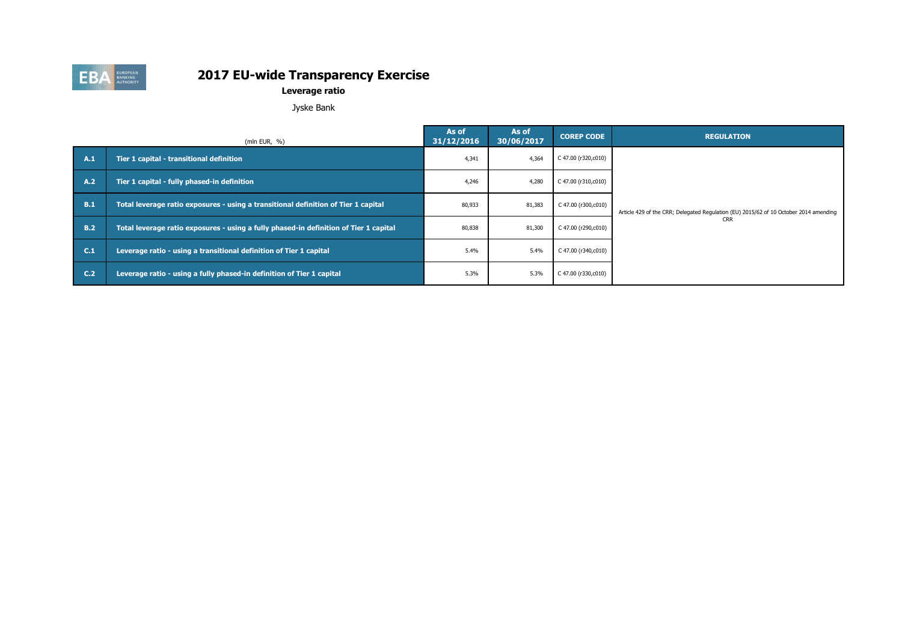

**Leverage ratio**

Jyske Bank

|            | (mln EUR, $%$ )                                                                       | As of<br>31/12/2016 | As of<br>30/06/2017 | <b>COREP CODE</b>   | <b>REGULATION</b>                                                                     |
|------------|---------------------------------------------------------------------------------------|---------------------|---------------------|---------------------|---------------------------------------------------------------------------------------|
| A.1        | Tier 1 capital - transitional definition                                              | 4,341               | 4,364               | C 47.00 (r320,c010) |                                                                                       |
| A.2        | Tier 1 capital - fully phased-in definition                                           | 4,246               | 4,280               | C 47.00 (r310,c010) |                                                                                       |
| B.1        | Total leverage ratio exposures - using a transitional definition of Tier 1 capital    | 80,933              | 81,383              | C 47.00 (r300,c010) | Article 429 of the CRR; Delegated Regulation (EU) 2015/62 of 10 October 2014 amending |
| <b>B.2</b> | Total leverage ratio exposures - using a fully phased-in definition of Tier 1 capital | 80,838              | 81,300              | C 47.00 (r290,c010) | <b>CRR</b>                                                                            |
| C.1        | Leverage ratio - using a transitional definition of Tier 1 capital                    | 5.4%                | 5.4%                | C 47.00 (r340,c010) |                                                                                       |
| C.2        | Leverage ratio - using a fully phased-in definition of Tier 1 capital                 | 5.3%                | 5.3%                | C 47.00 (r330,c010) |                                                                                       |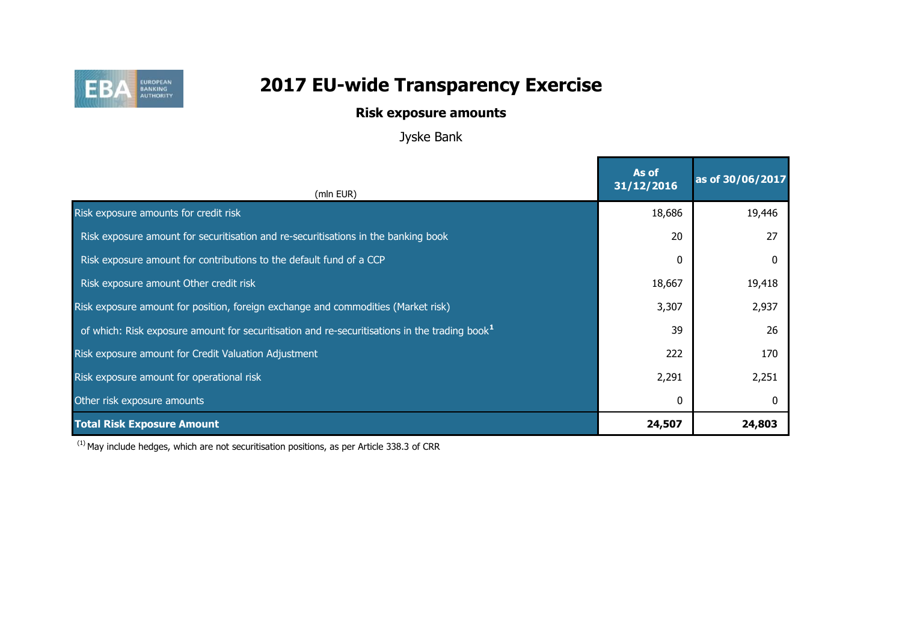

## **Risk exposure amounts**

Jyske Bank

| (mln EUR)                                                                                                 | As of<br>31/12/2016 | as of 30/06/2017 |
|-----------------------------------------------------------------------------------------------------------|---------------------|------------------|
| Risk exposure amounts for credit risk                                                                     | 18,686              | 19,446           |
| Risk exposure amount for securitisation and re-securitisations in the banking book                        | 20                  | 27               |
| Risk exposure amount for contributions to the default fund of a CCP                                       | $\mathbf{0}$        |                  |
| Risk exposure amount Other credit risk                                                                    | 18,667              | 19,418           |
| Risk exposure amount for position, foreign exchange and commodities (Market risk)                         | 3,307               | 2,937            |
| of which: Risk exposure amount for securitisation and re-securitisations in the trading book <sup>1</sup> | 39                  | 26               |
| Risk exposure amount for Credit Valuation Adjustment                                                      | 222                 | 170              |
| Risk exposure amount for operational risk                                                                 | 2,291               | 2,251            |
| Other risk exposure amounts                                                                               | 0                   |                  |
| <b>Total Risk Exposure Amount</b>                                                                         | 24,507              | 24,803           |

 $(1)$  May include hedges, which are not securitisation positions, as per Article 338.3 of CRR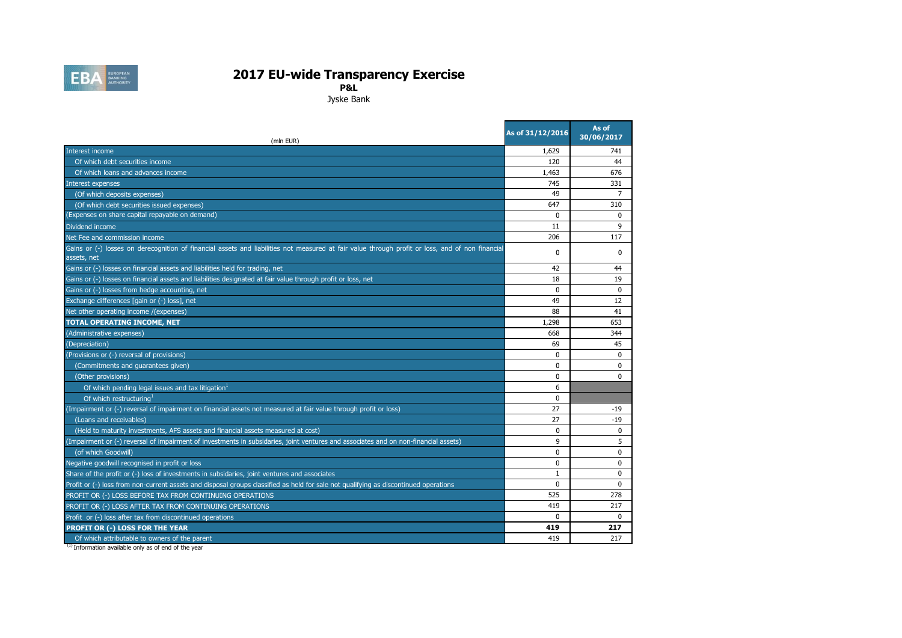

**P&L**

Jyske Bank

| (mln EUR)                                                                                                                                                       | As of 31/12/2016 | As of<br>30/06/2017 |
|-----------------------------------------------------------------------------------------------------------------------------------------------------------------|------------------|---------------------|
| Interest income                                                                                                                                                 | 1,629            | 741                 |
| Of which debt securities income                                                                                                                                 | 120              | 44                  |
| Of which loans and advances income                                                                                                                              | 1,463            | 676                 |
| Interest expenses                                                                                                                                               | 745              | 331                 |
| (Of which deposits expenses)                                                                                                                                    | 49               | $\overline{7}$      |
| (Of which debt securities issued expenses)                                                                                                                      | 647              | 310                 |
| (Expenses on share capital repayable on demand)                                                                                                                 | $\Omega$         | $\Omega$            |
| Dividend income                                                                                                                                                 | 11               | 9                   |
| Net Fee and commission income                                                                                                                                   | 206              | 117                 |
| Gains or (-) losses on derecognition of financial assets and liabilities not measured at fair value through profit or loss, and of non financial<br>assets, net | 0                | 0                   |
| Gains or (-) losses on financial assets and liabilities held for trading, net                                                                                   | 42               | 44                  |
| Gains or (-) losses on financial assets and liabilities designated at fair value through profit or loss, net                                                    | 18               | 19                  |
| Gains or (-) losses from hedge accounting, net                                                                                                                  | $\mathbf 0$      | 0                   |
| Exchange differences [gain or (-) loss], net                                                                                                                    | 49               | 12                  |
| Net other operating income /(expenses)                                                                                                                          | 88               | 41                  |
| <b>TOTAL OPERATING INCOME, NET</b>                                                                                                                              | 1,298            | 653                 |
| (Administrative expenses)                                                                                                                                       | 668              | 344                 |
| (Depreciation)                                                                                                                                                  | 69               | 45                  |
| (Provisions or (-) reversal of provisions)                                                                                                                      | $\Omega$         | 0                   |
| (Commitments and guarantees given)                                                                                                                              | $\Omega$         | $\Omega$            |
| (Other provisions)                                                                                                                                              | $\mathbf 0$      | $\Omega$            |
| Of which pending legal issues and tax litigation <sup>1</sup>                                                                                                   | 6                |                     |
| Of which restructuring <sup>1</sup>                                                                                                                             | $\Omega$         |                     |
| (Impairment or (-) reversal of impairment on financial assets not measured at fair value through profit or loss)                                                | 27               | $-19$               |
| (Loans and receivables)                                                                                                                                         | 27               | -19                 |
| (Held to maturity investments, AFS assets and financial assets measured at cost)                                                                                | $\mathbf 0$      | 0                   |
| (Impairment or (-) reversal of impairment of investments in subsidaries, joint ventures and associates and on non-financial assets)                             | 9                | 5                   |
| (of which Goodwill)                                                                                                                                             | $\mathbf{0}$     | $\mathbf 0$         |
| Negative goodwill recognised in profit or loss                                                                                                                  | $\mathbf{0}$     | $\Omega$            |
| Share of the profit or (-) loss of investments in subsidaries, joint ventures and associates                                                                    | $\mathbf{1}$     | $\Omega$            |
| Profit or (-) loss from non-current assets and disposal groups classified as held for sale not qualifying as discontinued operations                            | $\mathbf 0$      | 0                   |
| PROFIT OR (-) LOSS BEFORE TAX FROM CONTINUING OPERATIONS                                                                                                        | 525              | 278                 |
| PROFIT OR (-) LOSS AFTER TAX FROM CONTINUING OPERATIONS                                                                                                         | 419              | 217                 |
| Profit or (-) loss after tax from discontinued operations                                                                                                       | $\Omega$         | $\Omega$            |
| PROFIT OR (-) LOSS FOR THE YEAR                                                                                                                                 | 419              | 217                 |
| Of which attributable to owners of the parent                                                                                                                   | 419              | 217                 |

<sup>(1)</sup> Information available only as of end of the year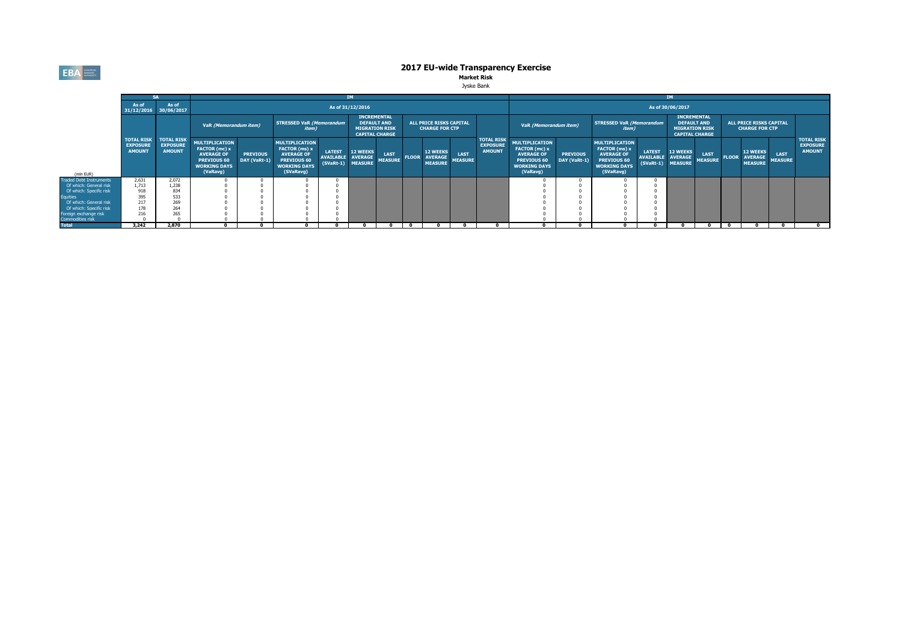**EBA** EUROPEAN

# **2017 EU-wide Transparency Exercise**<br>Market Risk

| ske Kank |
|----------|
|          |

|                                           |                                                       |                                                       |                                                                                                               |                                 |                                                                                                                |                                    |                                                                                            |                               |              |                                                         | <b>IM</b>              |                                                       |                                                                                                                      |                                 |                                                                                                                |                                    |                                                                                            |                               |              |                                                         |                               |                                                       |
|-------------------------------------------|-------------------------------------------------------|-------------------------------------------------------|---------------------------------------------------------------------------------------------------------------|---------------------------------|----------------------------------------------------------------------------------------------------------------|------------------------------------|--------------------------------------------------------------------------------------------|-------------------------------|--------------|---------------------------------------------------------|------------------------|-------------------------------------------------------|----------------------------------------------------------------------------------------------------------------------|---------------------------------|----------------------------------------------------------------------------------------------------------------|------------------------------------|--------------------------------------------------------------------------------------------|-------------------------------|--------------|---------------------------------------------------------|-------------------------------|-------------------------------------------------------|
|                                           | As of                                                 | As of<br>31/12/2016 30/06/2017                        |                                                                                                               |                                 |                                                                                                                |                                    | As of 31/12/2016                                                                           |                               |              |                                                         |                        |                                                       |                                                                                                                      |                                 |                                                                                                                |                                    | As of 30/06/2017                                                                           |                               |              |                                                         |                               |                                                       |
|                                           |                                                       |                                                       | VaR (Memorandum item)                                                                                         |                                 | <b>STRESSED VaR (Memorandum</b><br><i>item</i> )                                                               |                                    | <b>INCREMENTAL</b><br><b>DEFAULT AND</b><br><b>MIGRATION RISK</b><br><b>CAPITAL CHARGE</b> |                               |              | <b>ALL PRICE RISKS CAPITAL</b><br><b>CHARGE FOR CTP</b> |                        |                                                       | VaR (Memorandum item)                                                                                                |                                 | <b>STRESSED VaR (Memorandum</b><br><i>item</i> )                                                               |                                    | <b>INCREMENTAL</b><br><b>DEFAULT AND</b><br><b>MIGRATION RISK</b><br><b>CAPITAL CHARGE</b> |                               |              | <b>ALL PRICE RISKS CAPITAL</b><br><b>CHARGE FOR CTP</b> |                               |                                                       |
| (mln EUR)                                 | <b>TOTAL RISK</b><br><b>EXPOSURE</b><br><b>AMOUNT</b> | <b>TOTAL RISK</b><br><b>EXPOSURE</b><br><b>AMOUNT</b> | <b>MULTIPLICATION</b><br>FACTOR (mc) x<br><b>AVERAGE OF</b><br>PREVIOUS 60<br><b>WORKING DAYS</b><br>(VaRavg) | <b>PREVIOUS</b><br>DAY (VaRt-1) | <b>MULTIPLICATION</b><br>FACTOR (ms) x<br><b>AVERAGE OF</b><br>PREVIOUS 60<br><b>WORKING DAYS</b><br>(SVaRavg) | <b>LATEST</b><br>AVAILABLE AVERAGE | <b>12 WEEKS</b><br>(SVaRt-1) MEASURE                                                       | <b>LAST</b><br><b>MEASURE</b> | <b>FLOOR</b> | <b>12 WEEKS</b><br><b>AVERAGE</b><br><b>MEASURE</b>     | LAST<br><b>MEASURE</b> | <b>TOTAL RISK</b><br><b>EXPOSURE</b><br><b>AMOUNT</b> | <b>MULTIPLICATION</b><br>FACTOR (mc) x<br><b>AVERAGE OF</b><br><b>PREVIOUS 60</b><br><b>WORKING DAYS</b><br>(VaRavg) | <b>PREVIOUS</b><br>DAY (VaRt-1) | <b>MULTIPLICATION</b><br>FACTOR (ms) x<br><b>AVERAGE OF</b><br>PREVIOUS 60<br><b>WORKING DAYS</b><br>(SVaRavg) | <b>LATEST</b><br>AVAILABLE AVERAGE | <b>12 WEEKS</b><br>(SVaRt-1) MEASURE                                                       | <b>LAST</b><br><b>MEASURE</b> | <b>FLOOR</b> | <b>12 WEEKS</b><br><b>AVERAGE</b><br><b>MEASURE</b>     | <b>LAST</b><br><b>MEASURE</b> | <b>TOTAL RISK</b><br><b>EXPOSURE</b><br><b>AMOUNT</b> |
| <b>Traded Debt Instruments</b>            | 2,631                                                 | 2,072                                                 |                                                                                                               |                                 |                                                                                                                |                                    |                                                                                            |                               |              |                                                         |                        |                                                       |                                                                                                                      |                                 |                                                                                                                |                                    |                                                                                            |                               |              |                                                         |                               |                                                       |
| Of which: General risk                    | 1,713                                                 | 1,238                                                 |                                                                                                               |                                 |                                                                                                                |                                    |                                                                                            |                               |              |                                                         |                        |                                                       |                                                                                                                      |                                 |                                                                                                                |                                    |                                                                                            |                               |              |                                                         |                               |                                                       |
| Of which: Specific risk                   | 918                                                   | 834                                                   |                                                                                                               |                                 |                                                                                                                |                                    |                                                                                            |                               |              |                                                         |                        |                                                       |                                                                                                                      |                                 |                                                                                                                |                                    |                                                                                            |                               |              |                                                         |                               |                                                       |
| <b>Equities</b>                           | 395                                                   | 533                                                   |                                                                                                               |                                 |                                                                                                                |                                    |                                                                                            |                               |              |                                                         |                        |                                                       |                                                                                                                      |                                 |                                                                                                                |                                    |                                                                                            |                               |              |                                                         |                               |                                                       |
| Of which: General risk                    | 217                                                   | 269                                                   |                                                                                                               |                                 |                                                                                                                |                                    |                                                                                            |                               |              |                                                         |                        |                                                       |                                                                                                                      |                                 |                                                                                                                |                                    |                                                                                            |                               |              |                                                         |                               |                                                       |
| Of which: Specific risk                   | 178<br>216                                            | 264<br>265                                            |                                                                                                               |                                 |                                                                                                                |                                    |                                                                                            |                               |              |                                                         |                        |                                                       |                                                                                                                      |                                 |                                                                                                                |                                    |                                                                                            |                               |              |                                                         |                               |                                                       |
| Foreign exchange risk<br>Commodities risk |                                                       |                                                       |                                                                                                               |                                 |                                                                                                                |                                    |                                                                                            |                               |              |                                                         |                        |                                                       |                                                                                                                      |                                 |                                                                                                                |                                    |                                                                                            |                               |              |                                                         |                               |                                                       |
| <b>Total</b>                              | 3.242                                                 | 2.870                                                 |                                                                                                               |                                 |                                                                                                                |                                    |                                                                                            |                               |              |                                                         |                        |                                                       |                                                                                                                      |                                 |                                                                                                                |                                    |                                                                                            |                               |              |                                                         |                               |                                                       |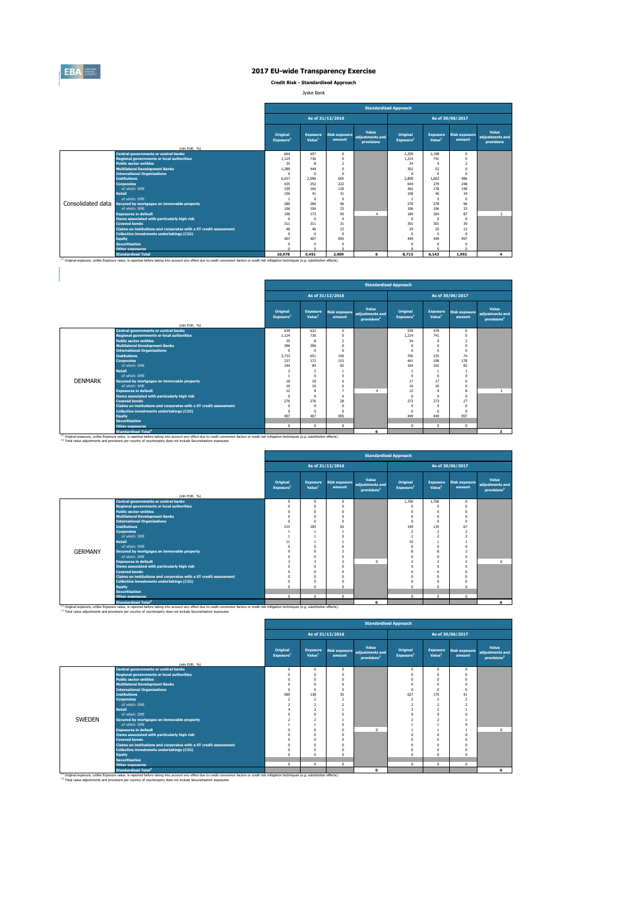

 $\begin{array}{c} \hline \end{array}$ 

#### **2017 EU-wide Transparency Exercise**

**Credit Risk - Standardised Approach**

Jyske Bank

|                   |                                                                                                                                                                                                    |                                   |                                       |                                | <b>Standardised Approach</b>           |                                   |                                       |                                |                                        |  |
|-------------------|----------------------------------------------------------------------------------------------------------------------------------------------------------------------------------------------------|-----------------------------------|---------------------------------------|--------------------------------|----------------------------------------|-----------------------------------|---------------------------------------|--------------------------------|----------------------------------------|--|
|                   |                                                                                                                                                                                                    |                                   | As of 30/06/2017<br>As of 31/12/2016  |                                |                                        |                                   |                                       |                                |                                        |  |
|                   | (mln EUR, %)                                                                                                                                                                                       | Original<br>Exposure <sup>1</sup> | <b>Exposure</b><br>Value <sup>1</sup> | <b>Risk exposure</b><br>amount | Value<br>adjustments and<br>provisions | Original<br>Exposure <sup>1</sup> | <b>Exposure</b><br>Value <sup>1</sup> | <b>Risk exposure</b><br>amount | Value<br>adjustments and<br>provisions |  |
|                   | <b>Central governments or central banks</b>                                                                                                                                                        | 664                               | 657                                   | $^{\circ}$                     |                                        | 2.259                             | 2.198                                 | $\mathbf{0}$                   |                                        |  |
|                   | <b>Regional governments or local authorities</b>                                                                                                                                                   | 1.124                             | 736                                   | $\Omega$                       |                                        | 1.214                             | 741                                   | $\Omega$                       |                                        |  |
|                   | <b>Public sector entities</b>                                                                                                                                                                      | 35                                | 8                                     | $\overline{\phantom{a}}$       |                                        | 34                                | $\mathbf{Q}$                          | $\overline{ }$                 |                                        |  |
|                   | <b>Multilateral Development Banks</b>                                                                                                                                                              | 1.289                             | 444                                   | $\Omega$                       |                                        | 352                               | 52                                    | $\Omega$                       |                                        |  |
|                   | <b>International Organisations</b>                                                                                                                                                                 | $\Omega$                          | r                                     |                                |                                        | $\Omega$                          | $\Omega$                              | $\Omega$                       |                                        |  |
|                   | <b>Institutions</b>                                                                                                                                                                                | 6.037                             | 2.096                                 | 605                            |                                        | 2,809                             | 1.602                                 | 486                            |                                        |  |
|                   | <b>Corporates</b>                                                                                                                                                                                  | 435                               | 252                                   | 222                            |                                        | 644                               | 279                                   | 248                            |                                        |  |
|                   | of which: SMF                                                                                                                                                                                      | 339                               | 160                                   | 130                            |                                        | 362                               | 178                                   | 148                            |                                        |  |
|                   | <b>Retail</b>                                                                                                                                                                                      | 156                               | 41                                    | 31                             |                                        | 158                               | 46                                    | 34                             |                                        |  |
|                   | of which: SMF                                                                                                                                                                                      |                                   | $\theta$                              | $\Omega$                       |                                        |                                   | $\Omega$                              | $\Omega$                       |                                        |  |
| Consolidated data | Secured by mortgages on immovable property                                                                                                                                                         | 280                               | 280                                   | 96                             |                                        | 278                               | 278                                   | 96                             |                                        |  |
|                   | of which: SMF                                                                                                                                                                                      | 106                               | 106                                   | 33                             |                                        | 106                               | 106                                   | 33                             |                                        |  |
|                   | <b>Exposures in default</b>                                                                                                                                                                        | 196                               | 173                                   | 95                             | 4                                      | 184                               | 164                                   | 87                             | $\overline{\mathbf{3}}$                |  |
|                   | Items associated with particularly high risk                                                                                                                                                       | $\Omega$                          | C                                     | $\Omega$                       |                                        | $^{\circ}$                        | $\Omega$                              | $\Omega$                       |                                        |  |
|                   | <b>Covered bonds</b>                                                                                                                                                                               | 311                               | 311                                   | 31                             |                                        | 301                               | 301                                   | 30                             |                                        |  |
|                   | Claims on institutions and corporates with a ST credit assessment                                                                                                                                  | 46                                | 46                                    | 23                             |                                        | 29                                | 25                                    | 13                             |                                        |  |
|                   | <b>Collective investments undertakings (CIU)</b>                                                                                                                                                   | $\Omega$                          | C                                     | $\Omega$                       |                                        | $\Omega$                          | $\Omega$                              | $\Omega$                       |                                        |  |
|                   | <b>Equity</b>                                                                                                                                                                                      | 407                               | 407                                   | 905                            |                                        | 449                               | 449                                   | 997                            |                                        |  |
|                   | <b>Securitisation</b>                                                                                                                                                                              | $\Omega$                          | $\Omega$                              | $\Omega$                       |                                        | $^{\circ}$                        | $\Omega$                              | $\Omega$                       |                                        |  |
|                   | <b>Other exposures</b>                                                                                                                                                                             | ń                                 |                                       |                                |                                        | $\Omega$                          | $\Omega$                              | $\Omega$                       |                                        |  |
|                   | <b>Standardised Total</b>                                                                                                                                                                          | 10,978                            | 5.451                                 | 2,009                          | 6                                      | 8,713                             | 6.143                                 | 1,992                          | 4                                      |  |
|                   | (1) Original exposure, unlike Exposure value, is reported before taking into account any effect due to credit conversion factors or credit risk mitigation techniques (e.g. substitution effects). |                                   |                                       |                                |                                        |                                   |                                       |                                |                                        |  |

|                |                                                                   |                                   | <b>Standardised Approach</b>          |                          |                                                                   |                                          |                                       |                                |                                                     |  |  |  |  |  |
|----------------|-------------------------------------------------------------------|-----------------------------------|---------------------------------------|--------------------------|-------------------------------------------------------------------|------------------------------------------|---------------------------------------|--------------------------------|-----------------------------------------------------|--|--|--|--|--|
|                |                                                                   |                                   |                                       | As of 31/12/2016         |                                                                   | As of 30/06/2017                         |                                       |                                |                                                     |  |  |  |  |  |
|                |                                                                   | Original<br>Exposure <sup>1</sup> | <b>Exposure</b><br>Value <sup>1</sup> | amount                   | Value<br>Risk exposure adjustments and<br>provisions <sup>2</sup> | <b>Original</b><br>Exposure <sup>1</sup> | <b>Exposure</b><br>Value <sup>1</sup> | <b>Risk exposure</b><br>amount | Value<br>adjustments and<br>provisions <sup>2</sup> |  |  |  |  |  |
|                | (mln EUR, %)                                                      |                                   |                                       |                          |                                                                   |                                          |                                       |                                |                                                     |  |  |  |  |  |
|                | <b>Central governments or central banks</b>                       | 639                               | 632                                   | $\mathbf{0}$             |                                                                   | 539                                      | 478                                   | $\Omega$                       |                                                     |  |  |  |  |  |
|                | <b>Regional governments or local authorities</b>                  | 1.124                             | 736                                   | $\theta$                 |                                                                   | 1.214                                    | 741                                   | $\Omega$                       |                                                     |  |  |  |  |  |
|                | <b>Public sector entities</b>                                     | 35                                | 8                                     | $\overline{\phantom{a}}$ |                                                                   | 34                                       | $^{\circ}$                            | $\overline{z}$                 |                                                     |  |  |  |  |  |
|                | <b>Multilateral Development Banks</b>                             | 396                               | 396                                   | n                        |                                                                   |                                          | $\Omega$                              | $\Omega$                       |                                                     |  |  |  |  |  |
|                | <b>International Organisations</b>                                | $\Omega$                          | $\Omega$                              | $\Omega$                 |                                                                   | $\Omega$                                 | $\Omega$                              | $\Omega$                       |                                                     |  |  |  |  |  |
|                | <b>Institutions</b>                                               | 3.733                             | 651                                   | 140                      |                                                                   | 705                                      | 235                                   | 74                             |                                                     |  |  |  |  |  |
|                | <b>Cornorates</b>                                                 | 237                               | 172                                   | 153                      |                                                                   | 441                                      | 198                                   | 178                            |                                                     |  |  |  |  |  |
|                | of which: SMF                                                     | 144                               | 84                                    | 65                       |                                                                   | 164                                      | 102                                   | 82                             |                                                     |  |  |  |  |  |
|                | <b>Retail</b>                                                     |                                   | $\overline{2}$                        |                          |                                                                   |                                          |                                       |                                |                                                     |  |  |  |  |  |
|                | of which: SME                                                     |                                   | 0                                     | $\theta$                 |                                                                   |                                          | $\Omega$                              | $\Omega$                       |                                                     |  |  |  |  |  |
| <b>DENMARK</b> | Secured by mortgages on immovable property                        | 18                                | 18                                    | 6                        |                                                                   | 17                                       | 17                                    | 6                              |                                                     |  |  |  |  |  |
|                | of which: SMF                                                     | 16                                | 16                                    | 6                        |                                                                   | 16                                       | 16                                    | 6                              |                                                     |  |  |  |  |  |
|                | <b>Exposures in default</b>                                       | 12                                | 8                                     | ٠                        | $\boldsymbol{A}$                                                  | 12                                       | $^{\circ}$                            | 8                              | $\overline{\mathbf{z}}$                             |  |  |  |  |  |
|                | Items associated with particularly high risk                      | $\Omega$                          | $\Omega$                              | $\Omega$                 |                                                                   | $\sqrt{2}$                               | $\Omega$                              | $\Omega$                       |                                                     |  |  |  |  |  |
|                | <b>Covered bonds</b>                                              | 276                               | 276                                   | 28                       |                                                                   | 273                                      | 273                                   | 27                             |                                                     |  |  |  |  |  |
|                | Claims on institutions and corporates with a ST credit assessment | $\sqrt{ }$                        | $\Omega$                              | $\Omega$                 |                                                                   |                                          | $\Omega$                              | $\Omega$                       |                                                     |  |  |  |  |  |
|                | Collective investments undertakings (CIU)                         | $\Omega$                          | $\Omega$                              | $\Omega$                 |                                                                   | $\Omega$                                 | $\Omega$                              | $\Omega$                       |                                                     |  |  |  |  |  |
|                | <b>Equity</b>                                                     | 407                               | 407                                   | 905                      |                                                                   | 449                                      | 449                                   | 997                            |                                                     |  |  |  |  |  |
|                | <b>Securitisation</b>                                             |                                   |                                       |                          |                                                                   |                                          |                                       |                                |                                                     |  |  |  |  |  |
|                | <b>Other exposures</b>                                            | $^{\circ}$                        | $\Omega$                              | $\Omega$                 |                                                                   | $\Omega$                                 | $\Omega$                              | $\Omega$                       |                                                     |  |  |  |  |  |
|                | <b>Standardised Total<sup>2</sup></b>                             |                                   |                                       |                          | 6                                                                 |                                          |                                       |                                | $\overline{\mathbf{3}}$                             |  |  |  |  |  |

|                |                                                                   | <b>Standardised Approach</b>      |                                       |                                |                                                     |                                   |                                |                                |                                                     |  |  |  |
|----------------|-------------------------------------------------------------------|-----------------------------------|---------------------------------------|--------------------------------|-----------------------------------------------------|-----------------------------------|--------------------------------|--------------------------------|-----------------------------------------------------|--|--|--|
|                |                                                                   |                                   |                                       | As of 31/12/2016               |                                                     | As of 30/06/2017                  |                                |                                |                                                     |  |  |  |
|                |                                                                   | Original<br>Exposure <sup>1</sup> | <b>Exposure</b><br>Value <sup>1</sup> | <b>Risk exposure</b><br>amount | Value<br>adjustments and<br>provisions <sup>2</sup> | Original<br>Exposure <sup>1</sup> | Exposure<br>Value <sup>1</sup> | <b>Risk exposure</b><br>amount | Value<br>adjustments and<br>provisions <sup>2</sup> |  |  |  |
|                | (mln EUR, %)                                                      |                                   |                                       |                                |                                                     |                                   |                                |                                |                                                     |  |  |  |
|                | <b>Central governments or central banks</b>                       | $\mathbf{Q}$                      | $\mathbf{Q}$                          | $^{\circ}$                     |                                                     | 1,700                             | 1,700                          | $^{\circ}$                     |                                                     |  |  |  |
|                | <b>Regional governments or local authorities</b>                  |                                   | $\Omega$                              | $\Omega$                       |                                                     |                                   | $\Omega$                       | $\sqrt{2}$                     |                                                     |  |  |  |
|                | <b>Public sector entities</b>                                     |                                   | $\Omega$                              | O                              |                                                     |                                   | $\Omega$                       | $\sqrt{2}$                     |                                                     |  |  |  |
|                | <b>Multilateral Development Banks</b>                             |                                   | $\Omega$                              | $\theta$                       |                                                     |                                   | $\Omega$                       |                                |                                                     |  |  |  |
|                | <b>International Organisations</b>                                | $\Omega$                          | $\Omega$                              | $\Omega$                       |                                                     | $\Omega$                          | $\Omega$                       | $\Omega$                       |                                                     |  |  |  |
|                | <b>Institutions</b>                                               | 215                               | 185                                   | 92                             |                                                     | 149                               | 135                            | 67                             |                                                     |  |  |  |
|                | <b>Corporates</b>                                                 |                                   |                                       |                                |                                                     | $\overline{2}$                    | $\overline{2}$                 | 2                              |                                                     |  |  |  |
|                | of which: SME                                                     |                                   |                                       |                                |                                                     | $\overline{2}$                    | $\overline{2}$                 | n                              |                                                     |  |  |  |
|                | <b>Retail</b>                                                     | 11                                |                                       |                                |                                                     | 10                                | $\mathbf{I}$                   |                                |                                                     |  |  |  |
|                | of which: SME                                                     | $\Omega$                          | $\Omega$                              |                                |                                                     |                                   | $\overline{0}$                 |                                |                                                     |  |  |  |
| <b>GERMANY</b> | Secured by mortgages on immovable property                        |                                   | $\mathbf{q}$                          | з                              |                                                     |                                   | 8                              | з                              |                                                     |  |  |  |
|                | of which: SME                                                     |                                   | $\Omega$                              | $\Omega$                       |                                                     |                                   | $\overline{0}$                 | $\Omega$                       |                                                     |  |  |  |
|                | <b>Exposures in default</b>                                       |                                   | 3                                     | 3                              | $\Omega$                                            | ╯                                 | $\overline{2}$                 | $\overline{a}$                 | 0                                                   |  |  |  |
|                | Items associated with particularly high risk                      |                                   | $\Omega$                              | $\Omega$                       |                                                     |                                   | $\Omega$                       | $\Omega$                       |                                                     |  |  |  |
|                | <b>Covered bonds</b>                                              |                                   | $\Omega$                              | O                              |                                                     |                                   | $\Omega$                       | $\Omega$                       |                                                     |  |  |  |
|                | Claims on institutions and corporates with a ST credit assessment |                                   | $\Omega$                              | $\Omega$                       |                                                     |                                   | $\Omega$                       | $\sqrt{2}$                     |                                                     |  |  |  |
|                | Collective investments undertakings (CIU)                         |                                   | $\Omega$                              | $^{\circ}$                     |                                                     |                                   | $\Omega$                       | $\Omega$                       |                                                     |  |  |  |
|                | Equity                                                            | $\sqrt{2}$                        | $\Omega$                              | $\Omega$                       |                                                     |                                   | $\Omega$                       | $\Omega$                       |                                                     |  |  |  |
|                | <b>Securitisation</b>                                             |                                   |                                       |                                |                                                     |                                   |                                |                                |                                                     |  |  |  |
|                | <b>Other exposures</b><br>the contract of the contract of         | $^{\circ}$                        | $\Omega$                              | $\mathbf{0}$                   |                                                     | $\Omega$                          | $\mathbf{0}$                   | $^{\circ}$                     |                                                     |  |  |  |

<sup>13</sup> Original exposure, unlike Exposure and archive and a scount any effect due to credit conversion factors or credit risk mitigation techniques (e.g. substitution effects).<br><sup>23</sup> Total value adjustments and provisions per

|               |                                                                   | <b>Standardised Approach</b>         |                                       |                                |                                                     |                                   |                                       |                                |                                                     |  |  |
|---------------|-------------------------------------------------------------------|--------------------------------------|---------------------------------------|--------------------------------|-----------------------------------------------------|-----------------------------------|---------------------------------------|--------------------------------|-----------------------------------------------------|--|--|
|               |                                                                   | As of 31/12/2016<br>As of 30/06/2017 |                                       |                                |                                                     |                                   |                                       |                                |                                                     |  |  |
|               | (mln EUR, %)                                                      | Original<br>Exposure <sup>1</sup>    | <b>Exposure</b><br>Value <sup>1</sup> | <b>Risk exposure</b><br>amount | Value<br>adjustments and<br>provisions <sup>2</sup> | Original<br>Exposure <sup>1</sup> | <b>Exposure</b><br>Value <sup>1</sup> | <b>Risk exposure</b><br>amount | Value<br>adjustments and<br>provisions <sup>2</sup> |  |  |
|               | <b>Central governments or central banks</b>                       | $^{\circ}$                           | $\mathbf{0}$                          | 0                              |                                                     | $\mathbf{0}$                      | $\Omega$                              | $\Omega$                       |                                                     |  |  |
|               | <b>Regional governments or local authorities</b>                  | $\Omega$                             | $\Omega$                              |                                |                                                     | $\Omega$                          | $\Omega$                              | $\Omega$                       |                                                     |  |  |
|               | <b>Public sector entities</b>                                     | $\mathbf 0$                          | $^{\circ}$                            |                                |                                                     | $\Omega$                          | $\Omega$                              | $\Omega$                       |                                                     |  |  |
|               | <b>Multilateral Development Banks</b>                             | $^{\circ}$                           | $^{\circ}$                            |                                |                                                     | $\Omega$                          | $\Omega$                              | $\Omega$                       |                                                     |  |  |
|               | <b>International Organisations</b>                                | $\mathbf 0$                          | $\Omega$                              |                                |                                                     | $\Omega$                          | $\Omega$                              | $\Omega$                       |                                                     |  |  |
|               | <b>Institutions</b>                                               | 589                                  | 138                                   | 35                             |                                                     | 627                               | 170                                   | 41                             |                                                     |  |  |
|               | <b>Corporates</b>                                                 | $\overline{2}$                       | $\overline{2}$                        | $\overline{ }$                 |                                                     | $\overline{2}$                    | $\overline{2}$                        |                                |                                                     |  |  |
|               | of which: SMF                                                     | $\overline{2}$                       | $\overline{2}$                        |                                |                                                     | $\overline{2}$                    | $\overline{2}$                        | $\overline{ }$                 |                                                     |  |  |
|               | <b>Retail</b>                                                     | $\overline{4}$                       | $\overline{2}$                        |                                |                                                     | 3                                 |                                       |                                |                                                     |  |  |
|               | of which: SMF                                                     | $\Omega$                             | $\Omega$                              |                                |                                                     | n                                 |                                       | $\Omega$                       |                                                     |  |  |
| <b>SWEDEN</b> | Secured by mortgages on immovable property                        | $\overline{2}$                       | $\overline{2}$                        |                                |                                                     |                                   | $\overline{\phantom{a}}$              |                                |                                                     |  |  |
|               | of which: SME                                                     |                                      | $\mathbf{1}$                          |                                |                                                     |                                   |                                       | $\Omega$                       |                                                     |  |  |
|               | <b>Exposures in default</b>                                       | $\Omega$                             | $\Omega$                              |                                | $\Omega$                                            |                                   |                                       |                                | $\circ$                                             |  |  |
|               | Items associated with particularly high risk                      | $\Omega$                             | $\Omega$                              |                                |                                                     | $\Omega$                          | $\Omega$                              | $\Omega$                       |                                                     |  |  |
|               | <b>Covered bonds</b>                                              | $\Omega$                             | $\Omega$                              |                                |                                                     | $\Omega$                          | $\Omega$                              | $\Omega$                       |                                                     |  |  |
|               | Claims on institutions and corporates with a ST credit assessment | $\Omega$                             | $\Omega$                              |                                |                                                     | $\Omega$                          | $\Omega$                              | $\Omega$                       |                                                     |  |  |
|               | Collective investments undertakings (CIU)                         | $\Omega$                             | $\Omega$                              |                                |                                                     | $\Omega$                          | $\Omega$                              | $\Omega$                       |                                                     |  |  |
|               | <b>Equity</b>                                                     | $\Omega$                             | $\Omega$                              |                                |                                                     | $\Omega$                          | $\Omega$                              | $\Omega$                       |                                                     |  |  |
|               | <b>Securitisation</b>                                             |                                      |                                       |                                |                                                     |                                   |                                       |                                |                                                     |  |  |
|               | <b>Other exposures</b>                                            | $\Omega$                             | $\Omega$                              | $\mathbf{0}$                   |                                                     | $\Omega$                          | $\Omega$                              | $\Omega$                       |                                                     |  |  |
|               | <b>Standardised Total<sup>2</sup></b>                             |                                      |                                       |                                | o                                                   |                                   |                                       |                                | $\Omega$                                            |  |  |

<sup>(1)</sup> Original exposure, unlike Exposure value, is reported before taking into account any effect due to credit conversion factors or credit risk mitigation techniques (e.g. substitution effects).<br><sup>(2)</sup> Total value adjustm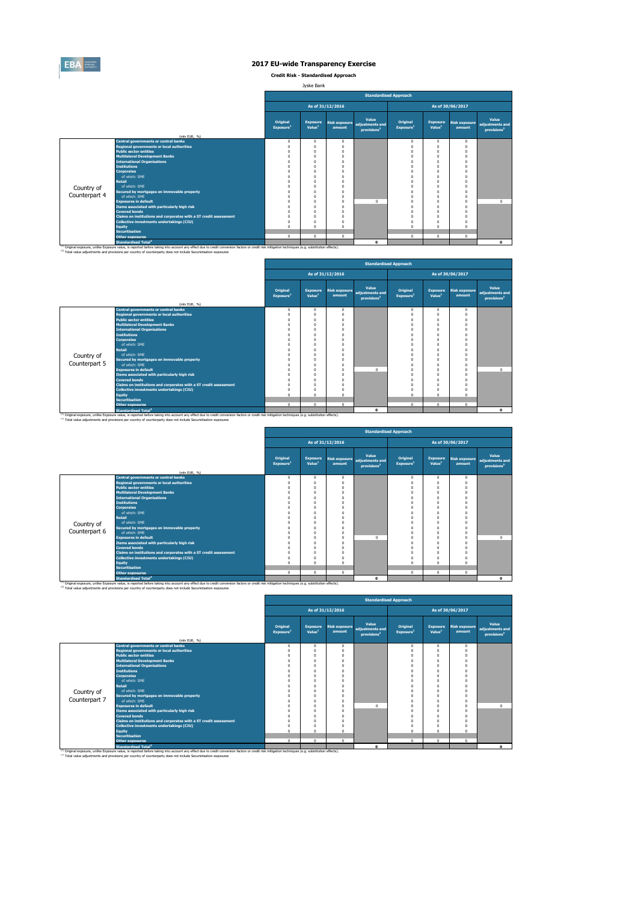

**Credit Risk - Standardised Approach**

Jyske Bank

|               |                                                                                                                                                                                                                                                                                                                         |                                      |                                       |                                |                                                     | <b>Standardised Approach</b>      |                                       |                                |                                                     |
|---------------|-------------------------------------------------------------------------------------------------------------------------------------------------------------------------------------------------------------------------------------------------------------------------------------------------------------------------|--------------------------------------|---------------------------------------|--------------------------------|-----------------------------------------------------|-----------------------------------|---------------------------------------|--------------------------------|-----------------------------------------------------|
|               |                                                                                                                                                                                                                                                                                                                         | As of 31/12/2016<br>As of 30/06/2017 |                                       |                                |                                                     |                                   |                                       |                                |                                                     |
|               | (mln EUR, %)                                                                                                                                                                                                                                                                                                            | Original<br>Exposure <sup>1</sup>    | <b>Exposure</b><br>Value <sup>1</sup> | <b>Risk exposure</b><br>amount | Value<br>adiustments and<br>provisions <sup>2</sup> | Original<br>Exposure <sup>1</sup> | <b>Exposure</b><br>Value <sup>1</sup> | <b>Risk exposure</b><br>amount | Value<br>adjustments and<br>provisions <sup>2</sup> |
|               | <b>Central governments or central banks</b>                                                                                                                                                                                                                                                                             | $\mathbf 0$                          | $\mathbf{0}$                          | $\Omega$                       |                                                     | $\mathbf 0$                       | $\mathbf 0$                           | $\Omega$                       |                                                     |
|               | <b>Regional governments or local authorities</b>                                                                                                                                                                                                                                                                        | $\Omega$                             | O                                     | $\Omega$                       |                                                     | $\Omega$                          | $\Omega$                              | $\Omega$                       |                                                     |
|               | <b>Public sector entities</b>                                                                                                                                                                                                                                                                                           | O                                    | O                                     |                                |                                                     | $\Omega$                          | $\Omega$                              | $\Omega$                       |                                                     |
|               | <b>Multilateral Development Banks</b>                                                                                                                                                                                                                                                                                   | O                                    |                                       |                                |                                                     | $\Omega$                          | $\Omega$                              |                                |                                                     |
|               | <b>International Organisations</b>                                                                                                                                                                                                                                                                                      | O                                    | Ò                                     |                                |                                                     | $\Omega$                          | $\Omega$                              |                                |                                                     |
|               | <b>Institutions</b>                                                                                                                                                                                                                                                                                                     |                                      |                                       |                                |                                                     |                                   | $\Omega$                              |                                |                                                     |
|               | <b>Corporates</b>                                                                                                                                                                                                                                                                                                       |                                      |                                       |                                |                                                     | $\Omega$                          | $\Omega$                              | £                              |                                                     |
|               | of which: SMF                                                                                                                                                                                                                                                                                                           | O                                    | O                                     |                                |                                                     | $\Omega$                          | $\Omega$                              | $\Omega$                       |                                                     |
|               | <b>Retail</b>                                                                                                                                                                                                                                                                                                           |                                      |                                       |                                |                                                     |                                   | $\Omega$                              |                                |                                                     |
| Country of    | of which: SME                                                                                                                                                                                                                                                                                                           | n                                    | O                                     |                                |                                                     |                                   | $\Omega$                              | O                              |                                                     |
|               | Secured by mortgages on immovable property                                                                                                                                                                                                                                                                              | n                                    | n                                     |                                |                                                     | $\Omega$                          | $\Omega$                              | $\Omega$                       |                                                     |
| Counterpart 4 | of which: SMF                                                                                                                                                                                                                                                                                                           | O                                    | n                                     | $\Omega$                       |                                                     | $\Omega$                          | $\Omega$                              | $\Omega$                       |                                                     |
|               | <b>Exposures in default</b>                                                                                                                                                                                                                                                                                             |                                      |                                       | $\Omega$                       | $\Omega$                                            | $\Omega$                          | $\Omega$                              | $\Omega$                       | $\Omega$                                            |
|               | Items associated with particularly high risk                                                                                                                                                                                                                                                                            | O                                    | n                                     | $\Omega$                       |                                                     | $\Omega$                          | $\Omega$                              | $\Omega$                       |                                                     |
|               | <b>Covered bonds</b>                                                                                                                                                                                                                                                                                                    | O                                    | O                                     |                                |                                                     | $\Omega$                          | $\Omega$                              | $\Omega$                       |                                                     |
|               | Claims on institutions and corporates with a ST credit assessment                                                                                                                                                                                                                                                       | $\Omega$                             | Ò                                     |                                |                                                     | $\Omega$                          | $\Omega$                              | Ò                              |                                                     |
|               | Collective investments undertakings (CIU)                                                                                                                                                                                                                                                                               | $\Omega$                             | O                                     |                                |                                                     | $\Omega$                          | $\Omega$                              |                                |                                                     |
|               | <b>Equity</b>                                                                                                                                                                                                                                                                                                           | $\Omega$                             | O                                     |                                |                                                     | $\Omega$                          | $\Omega$                              | C                              |                                                     |
|               | <b>Securitisation</b>                                                                                                                                                                                                                                                                                                   | $^{\circ}$                           | $\mathbf{0}$                          | $\Omega$                       |                                                     | $\mathbf 0$                       | $\mathbf{0}$                          | $\mathbf{0}$                   |                                                     |
|               | <b>Other exposures</b>                                                                                                                                                                                                                                                                                                  |                                      |                                       |                                |                                                     |                                   |                                       |                                |                                                     |
|               | <b>Standardised Total<sup>2</sup></b>                                                                                                                                                                                                                                                                                   |                                      |                                       |                                | $\Omega$                                            |                                   |                                       |                                | $\bullet$                                           |
|               | (1) Original exposure, unlike Exposure value, is reported before taking into account any effect due to credit conversion factors or credit risk mitigation techniques (e.g. substitution effects).<br>(2) Total value adjustments and provisions per country of counterparty does not include Securistisation exposures |                                      |                                       |                                |                                                     |                                   |                                       |                                |                                                     |

|               |                                                                   |                                   |                                       |                                |                                                     | <b>Standardised Approach</b>      |                                       |                                |                                                     |
|---------------|-------------------------------------------------------------------|-----------------------------------|---------------------------------------|--------------------------------|-----------------------------------------------------|-----------------------------------|---------------------------------------|--------------------------------|-----------------------------------------------------|
|               |                                                                   |                                   |                                       | As of 31/12/2016               |                                                     |                                   |                                       | As of 30/06/2017               |                                                     |
|               |                                                                   | Original<br>Exposure <sup>1</sup> | <b>Exposure</b><br>Value <sup>1</sup> | <b>Risk exposure</b><br>amount | Value<br>adjustments and<br>provisions <sup>2</sup> | Original<br>Exposure <sup>1</sup> | <b>Exposure</b><br>Value <sup>1</sup> | <b>Risk exposure</b><br>amount | Value<br>adjustments and<br>provisions <sup>2</sup> |
|               | (mln EUR, %)<br><b>Central governments or central banks</b>       | $^{\circ}$                        | $^{\circ}$                            | $\Omega$                       |                                                     | $^{\circ}$                        | $\Omega$                              | $\circ$                        |                                                     |
|               | <b>Regional governments or local authorities</b>                  | $\Omega$                          | $^{\circ}$                            | C                              |                                                     |                                   |                                       | $\Omega$                       |                                                     |
|               | <b>Public sector entities</b>                                     | $\Omega$                          | $\mathbf{0}$                          | O                              |                                                     |                                   |                                       | $\theta$                       |                                                     |
|               | <b>Multilateral Development Banks</b>                             | $\mathbf 0$                       | $\bf{0}$                              |                                |                                                     |                                   |                                       | $\Omega$                       |                                                     |
|               | <b>International Organisations</b>                                | $\Omega$                          | $\Omega$                              | n                              |                                                     |                                   | $\Omega$                              | $\Omega$                       |                                                     |
|               | <b>Institutions</b>                                               | $\Omega$                          | $\Omega$                              |                                |                                                     |                                   |                                       |                                |                                                     |
|               | <b>Corporates</b>                                                 | $\Omega$                          | $\mathbf{0}$                          | n                              |                                                     |                                   | $\Omega$                              | $\Omega$                       |                                                     |
|               | of which: SME                                                     | $\Omega$                          | $\mathbf{0}$                          |                                |                                                     |                                   | $\Omega$                              | $\Omega$                       |                                                     |
|               | <b>Retail</b>                                                     | $\Omega$                          | $\Omega$                              |                                |                                                     |                                   | $\Omega$                              |                                |                                                     |
| Country of    | of which: SMF                                                     | $\Omega$                          | $\Omega$                              |                                |                                                     |                                   |                                       |                                |                                                     |
|               | Secured by mortgages on immovable property                        | $\Omega$                          | $\Omega$                              |                                |                                                     |                                   |                                       | $\Omega$                       |                                                     |
| Counterpart 5 | of which: SMF                                                     | $\Omega$                          | $\mathbf{0}$                          | n                              |                                                     |                                   |                                       | $\Omega$                       |                                                     |
|               | <b>Exposures in default</b>                                       | $\Omega$                          | $\bf{0}$                              | n                              | $\Omega$                                            |                                   | $\Omega$                              | $\theta$                       | $\circ$                                             |
|               | <b>Items associated with particularly high risk</b>               | $\Omega$                          | $\mathbf{0}$                          | O                              |                                                     |                                   | $\Omega$                              | $\Omega$                       |                                                     |
|               | <b>Covered bonds</b>                                              | $\Omega$                          | $\Omega$                              |                                |                                                     |                                   |                                       |                                |                                                     |
|               | Claims on institutions and corporates with a ST credit assessment | $\Omega$                          | $\Omega$                              |                                |                                                     |                                   | $\Omega$                              | $\Omega$                       |                                                     |
|               | Collective investments undertakings (CIU)                         | $\Omega$<br>$\Omega$              | $\mathbf{0}$<br>$\Omega$              |                                |                                                     | n                                 |                                       | $\theta$                       |                                                     |
|               | Equity<br><b>Securitisation</b>                                   |                                   |                                       | O                              |                                                     |                                   | $\Omega$                              |                                |                                                     |
|               | <b>Other exposures</b>                                            | $\mathbf 0$                       | $\mathbf{0}$                          | $\Omega$                       |                                                     | $\Omega$                          | $\Omega$                              | $\Omega$                       |                                                     |
|               | <b>Standardised Total<sup>2</sup></b>                             |                                   |                                       |                                | $\mathbf{0}$                                        |                                   |                                       |                                | $\mathbf{o}$                                        |
|               |                                                                   |                                   |                                       |                                |                                                     |                                   |                                       |                                |                                                     |

<sup>10</sup> Original exposure, unlike Exposure Total of Total Total Total Count any effect due to credit conversion factors or credit risk mitigation techniques (e.g. substitution effects).<br><sup>21</sup> Total value adjustments and provis

|               |                                                                                                                                                                                                                                                        |                                   |                                       |                                | <b>Standardised Approach</b>                        |                                   |                                       |                                |                                                     |
|---------------|--------------------------------------------------------------------------------------------------------------------------------------------------------------------------------------------------------------------------------------------------------|-----------------------------------|---------------------------------------|--------------------------------|-----------------------------------------------------|-----------------------------------|---------------------------------------|--------------------------------|-----------------------------------------------------|
|               |                                                                                                                                                                                                                                                        |                                   |                                       | As of 31/12/2016               |                                                     |                                   |                                       | As of 30/06/2017               |                                                     |
|               |                                                                                                                                                                                                                                                        | Original<br>Exposure <sup>1</sup> | <b>Exposure</b><br>Value <sup>1</sup> | <b>Risk exposure</b><br>amount | Value<br>adjustments and<br>provisions <sup>2</sup> | Original<br>Exposure <sup>1</sup> | <b>Exposure</b><br>Value <sup>1</sup> | <b>Risk exposure</b><br>amount | Value<br>adjustments and<br>provisions <sup>2</sup> |
|               | (mln EUR, %)                                                                                                                                                                                                                                           |                                   |                                       |                                |                                                     |                                   |                                       |                                |                                                     |
|               | <b>Central governments or central banks</b>                                                                                                                                                                                                            | $\mathbf 0$                       | $\mathbf{0}$                          | $\mathbf{0}$                   |                                                     | $^{\circ}$                        | $\Omega$                              | $\mathbf{0}$                   |                                                     |
|               | <b>Regional governments or local authorities</b>                                                                                                                                                                                                       |                                   | 0                                     | $\theta$                       |                                                     | $\Omega$                          | $\Omega$                              | $\Omega$                       |                                                     |
|               | <b>Public sector entities</b>                                                                                                                                                                                                                          |                                   | 0                                     | n                              |                                                     | 0                                 | $\Omega$                              | $\Omega$                       |                                                     |
|               | <b>Multilateral Development Banks</b>                                                                                                                                                                                                                  | O                                 | 0                                     | n                              |                                                     | Λ                                 | $\Omega$                              | $\Omega$                       |                                                     |
|               | <b>International Organisations</b>                                                                                                                                                                                                                     |                                   | $\Omega$                              | n                              |                                                     |                                   | $\Omega$                              |                                |                                                     |
|               | <b>Institutions</b>                                                                                                                                                                                                                                    |                                   | $\Omega$                              | n                              |                                                     |                                   | n                                     |                                |                                                     |
|               | <b>Corporates</b>                                                                                                                                                                                                                                      |                                   | $\Omega$                              | n                              |                                                     | Λ                                 | n                                     | $\Omega$                       |                                                     |
|               | of which: SME                                                                                                                                                                                                                                          |                                   | 0                                     | n                              |                                                     | n                                 | n                                     | $\Omega$                       |                                                     |
|               | <b>Retail</b>                                                                                                                                                                                                                                          |                                   | 0                                     | n                              |                                                     |                                   | n                                     |                                |                                                     |
| Country of    | of which: SMF                                                                                                                                                                                                                                          |                                   | $\Omega$                              | n                              |                                                     |                                   | $\Omega$                              |                                |                                                     |
| Counterpart 6 | Secured by mortgages on immovable property                                                                                                                                                                                                             |                                   | $\Omega$                              | $\theta$                       |                                                     | Λ                                 | $\Omega$                              | $\Omega$                       |                                                     |
|               | of which: SMF                                                                                                                                                                                                                                          |                                   | 0                                     | n                              |                                                     | 0                                 | $\Omega$                              | $\Omega$                       |                                                     |
|               | <b>Exposures in default</b>                                                                                                                                                                                                                            |                                   | 0                                     | n                              | $\Omega$                                            | Λ                                 | $\Omega$                              | $\Omega$                       | $^{\circ}$                                          |
|               | Items associated with particularly high risk                                                                                                                                                                                                           |                                   | $\Omega$                              | Ō                              |                                                     |                                   | $\theta$                              | $\Omega$                       |                                                     |
|               | <b>Covered bonds</b>                                                                                                                                                                                                                                   |                                   | $\Omega$                              | n                              |                                                     | n                                 | $\Omega$                              | $\Omega$                       |                                                     |
|               | Claims on institutions and corporates with a ST credit assessment                                                                                                                                                                                      |                                   | $\Omega$                              | n                              |                                                     | O                                 | $\Omega$                              |                                |                                                     |
|               | Collective investments undertakings (CIU)                                                                                                                                                                                                              |                                   | 0                                     | n                              |                                                     | $\Omega$                          | $\Omega$                              | $\Omega$                       |                                                     |
|               | <b>Equity</b>                                                                                                                                                                                                                                          | $\Omega$                          | $\Omega$                              | n                              |                                                     | $\Omega$                          | $\Omega$                              | $\Omega$                       |                                                     |
|               | <b>Securitisation</b>                                                                                                                                                                                                                                  |                                   |                                       |                                |                                                     |                                   |                                       |                                |                                                     |
|               | <b>Other exposures</b>                                                                                                                                                                                                                                 | $^{\circ}$                        | $\mathbf{0}$                          | $\mathbf{0}$                   |                                                     | $^{\circ}$                        | $\mathbf{0}$                          | $\mathbf{0}$                   |                                                     |
|               | <b>Standardised Total<sup>2</sup></b><br><sup>(1)</sup> Original exposure, unlike Exposure value, is reported before taking into account any effect due to credit conversion factors or credit risk mitigation techniques (e.g. substitution effects). |                                   |                                       |                                | $\Omega$                                            |                                   |                                       |                                | $\Omega$                                            |

|               |                                                                                                                                                                                                                                             | <b>Standardised Approach</b><br>As of 30/06/2017<br>As of 31/12/2016 |                                       |                                |                                                     |                                   |                                       |                                |                                                     |  |  |  |  |  |
|---------------|---------------------------------------------------------------------------------------------------------------------------------------------------------------------------------------------------------------------------------------------|----------------------------------------------------------------------|---------------------------------------|--------------------------------|-----------------------------------------------------|-----------------------------------|---------------------------------------|--------------------------------|-----------------------------------------------------|--|--|--|--|--|
|               |                                                                                                                                                                                                                                             |                                                                      |                                       |                                |                                                     |                                   |                                       |                                |                                                     |  |  |  |  |  |
|               | (mln EUR, %)                                                                                                                                                                                                                                | Original<br>Exposure <sup>1</sup>                                    | <b>Exposure</b><br>Value <sup>1</sup> | <b>Risk exposure</b><br>amount | Value<br>adjustments and<br>provisions <sup>2</sup> | Original<br>Exposure <sup>1</sup> | <b>Exposure</b><br>Value <sup>1</sup> | <b>Risk exposure</b><br>amount | Value<br>adjustments and<br>provisions <sup>2</sup> |  |  |  |  |  |
|               | <b>Central governments or central banks</b>                                                                                                                                                                                                 | $^{\circ}$                                                           | $\Omega$                              | $\mathbf{0}$                   |                                                     | $\Omega$                          | $\mathbf{0}$                          | $\mathbf{0}$                   |                                                     |  |  |  |  |  |
|               | <b>Regional governments or local authorities</b>                                                                                                                                                                                            |                                                                      | O                                     | $\Omega$                       |                                                     |                                   | Ò                                     | O                              |                                                     |  |  |  |  |  |
|               | <b>Public sector entities</b>                                                                                                                                                                                                               |                                                                      | O                                     | $\Omega$                       |                                                     | $\Omega$                          | O                                     |                                |                                                     |  |  |  |  |  |
|               | <b>Multilateral Development Banks</b>                                                                                                                                                                                                       |                                                                      | O                                     | $\Omega$                       |                                                     | n                                 | n                                     |                                |                                                     |  |  |  |  |  |
|               | <b>International Organisations</b>                                                                                                                                                                                                          |                                                                      | n                                     |                                |                                                     |                                   | n                                     |                                |                                                     |  |  |  |  |  |
|               | <b>Institutions</b>                                                                                                                                                                                                                         |                                                                      | n                                     |                                |                                                     |                                   | n                                     |                                |                                                     |  |  |  |  |  |
|               | <b>Corporates</b>                                                                                                                                                                                                                           |                                                                      | O                                     | $\Omega$                       |                                                     |                                   | n                                     |                                |                                                     |  |  |  |  |  |
|               | of which: SME                                                                                                                                                                                                                               |                                                                      |                                       |                                |                                                     |                                   | O                                     |                                |                                                     |  |  |  |  |  |
|               | Retail                                                                                                                                                                                                                                      |                                                                      |                                       |                                |                                                     |                                   | O                                     |                                |                                                     |  |  |  |  |  |
| Country of    | of which: SMF                                                                                                                                                                                                                               |                                                                      | O                                     | $\Omega$                       |                                                     |                                   | n                                     |                                |                                                     |  |  |  |  |  |
|               | Secured by mortgages on immovable property                                                                                                                                                                                                  |                                                                      | O                                     | n                              |                                                     |                                   | n                                     |                                |                                                     |  |  |  |  |  |
| Counterpart 7 | of which: SMF                                                                                                                                                                                                                               |                                                                      | n                                     | $\Omega$                       |                                                     |                                   | n                                     | n                              |                                                     |  |  |  |  |  |
|               | <b>Exposures in default</b>                                                                                                                                                                                                                 |                                                                      | O                                     | $\Omega$                       | $\Omega$                                            |                                   | n                                     | O                              | $\Omega$                                            |  |  |  |  |  |
|               | Items associated with particularly high risk                                                                                                                                                                                                |                                                                      |                                       |                                |                                                     |                                   | $\theta$                              |                                |                                                     |  |  |  |  |  |
|               | <b>Covered bonds</b>                                                                                                                                                                                                                        |                                                                      | O                                     | $\Omega$                       |                                                     |                                   | n                                     |                                |                                                     |  |  |  |  |  |
|               | Claims on institutions and corporates with a ST credit assessment                                                                                                                                                                           |                                                                      | O                                     | $\Omega$                       |                                                     |                                   | n                                     |                                |                                                     |  |  |  |  |  |
|               | <b>Collective investments undertakings (CIU)</b>                                                                                                                                                                                            |                                                                      | O                                     |                                |                                                     |                                   | n                                     |                                |                                                     |  |  |  |  |  |
|               | <b>Equity</b>                                                                                                                                                                                                                               |                                                                      | n                                     | $\Omega$                       |                                                     | $\sqrt{2}$                        | $\Omega$                              | n                              |                                                     |  |  |  |  |  |
|               | <b>Securitisation</b>                                                                                                                                                                                                                       |                                                                      |                                       |                                |                                                     |                                   |                                       |                                |                                                     |  |  |  |  |  |
|               | <b>Other exposures</b>                                                                                                                                                                                                                      | $\mathbf 0$                                                          | $^{\circ}$                            | $\mathbf{0}$                   |                                                     | $\Omega$                          | 0                                     | $\Omega$                       |                                                     |  |  |  |  |  |
|               | <b>Standardised Total<sup>2</sup></b><br>(1) Original exposure, unlike Exposure value, is reported before taking into account any effect due to credit conversion factors or credit risk mitigation techniques (e.g. substitution effects). |                                                                      |                                       |                                | $\Omega$                                            |                                   |                                       |                                | $\bullet$                                           |  |  |  |  |  |

χ.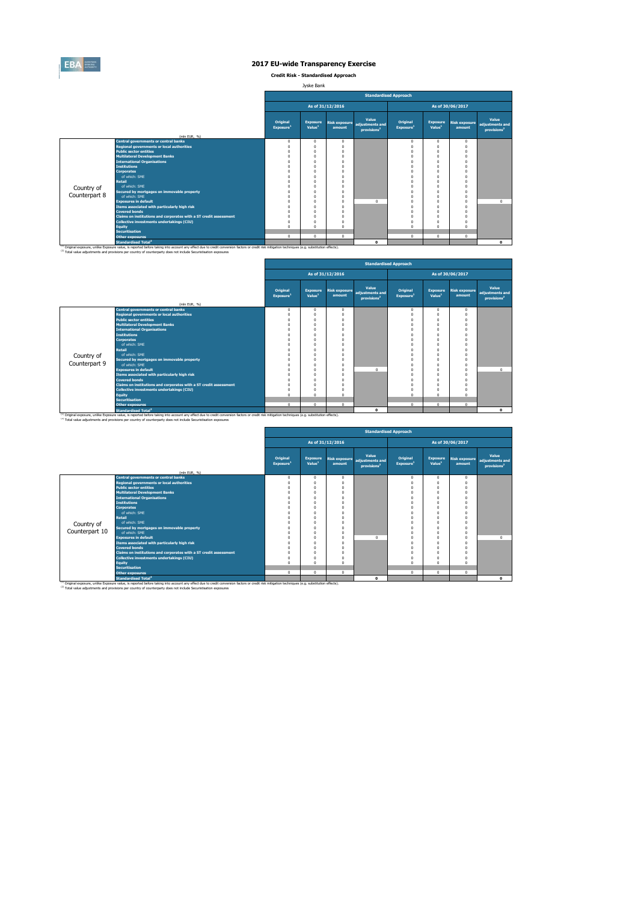

**Credit Risk - Standardised Approach**

Jyske Bank

|               |                                                                                                                                                                                                                                                                                                                         |                                   |                                       |                                | <b>Standardised Approach</b>                        |                                   |                                       |                                |                                                     |
|---------------|-------------------------------------------------------------------------------------------------------------------------------------------------------------------------------------------------------------------------------------------------------------------------------------------------------------------------|-----------------------------------|---------------------------------------|--------------------------------|-----------------------------------------------------|-----------------------------------|---------------------------------------|--------------------------------|-----------------------------------------------------|
|               |                                                                                                                                                                                                                                                                                                                         |                                   |                                       | As of 31/12/2016               |                                                     |                                   |                                       | As of 30/06/2017               |                                                     |
|               |                                                                                                                                                                                                                                                                                                                         | Original<br>Exposure <sup>1</sup> | <b>Exposure</b><br>Value <sup>1</sup> | <b>Risk exposure</b><br>amount | Value<br>adiustments and<br>provisions <sup>2</sup> | Original<br>Exposure <sup>1</sup> | <b>Exposure</b><br>Value <sup>1</sup> | <b>Risk exposure</b><br>amount | Value<br>adiustments and<br>provisions <sup>2</sup> |
|               | (mln EUR, %)<br><b>Central governments or central banks</b>                                                                                                                                                                                                                                                             | $\Omega$                          | $\Omega$                              | $\Omega$                       |                                                     |                                   |                                       | $\Omega$                       |                                                     |
|               | <b>Regional governments or local authorities</b>                                                                                                                                                                                                                                                                        | $\Omega$                          | $\Omega$                              | $\mathbf{0}$                   |                                                     | $\mathbf 0$<br>$\Omega$           | $^{\circ}$<br>$\mathbf{0}$            | $\Omega$                       |                                                     |
|               | <b>Public sector entities</b>                                                                                                                                                                                                                                                                                           |                                   | $\Omega$                              | n                              |                                                     |                                   | O                                     |                                |                                                     |
|               | <b>Multilateral Development Banks</b>                                                                                                                                                                                                                                                                                   |                                   | n                                     |                                |                                                     |                                   |                                       |                                |                                                     |
|               | <b>International Organisations</b>                                                                                                                                                                                                                                                                                      |                                   |                                       |                                |                                                     |                                   |                                       |                                |                                                     |
|               | <b>Institutions</b>                                                                                                                                                                                                                                                                                                     |                                   |                                       | n                              |                                                     |                                   |                                       |                                |                                                     |
|               | <b>Corporates</b>                                                                                                                                                                                                                                                                                                       |                                   | n                                     | n                              |                                                     |                                   |                                       |                                |                                                     |
|               | of which: SMF                                                                                                                                                                                                                                                                                                           |                                   | $\Omega$                              | n                              |                                                     |                                   |                                       |                                |                                                     |
|               | <b>Retail</b>                                                                                                                                                                                                                                                                                                           |                                   |                                       |                                |                                                     |                                   |                                       |                                |                                                     |
| Country of    | of which: SMF                                                                                                                                                                                                                                                                                                           |                                   | n                                     | n                              |                                                     |                                   | n                                     |                                |                                                     |
|               | Secured by mortgages on immovable property                                                                                                                                                                                                                                                                              |                                   | n                                     |                                |                                                     |                                   |                                       |                                |                                                     |
| Counterpart 8 | of which: SMF                                                                                                                                                                                                                                                                                                           |                                   | n                                     | n                              |                                                     |                                   |                                       |                                |                                                     |
|               | <b>Exposures in default</b>                                                                                                                                                                                                                                                                                             |                                   | n                                     | n                              | $\Omega$                                            |                                   | n                                     | $\Omega$                       | $\Omega$                                            |
|               | Items associated with particularly high risk                                                                                                                                                                                                                                                                            |                                   | n                                     | n                              |                                                     | $\Omega$                          | n                                     |                                |                                                     |
|               | <b>Covered bonds</b>                                                                                                                                                                                                                                                                                                    |                                   | $\Omega$                              | n                              |                                                     | $\Omega$                          | n                                     |                                |                                                     |
|               | Claims on institutions and corporates with a ST credit assessment                                                                                                                                                                                                                                                       |                                   | n                                     | n                              |                                                     |                                   | n                                     |                                |                                                     |
|               | Collective investments undertakings (CIU)                                                                                                                                                                                                                                                                               |                                   | $\Omega$                              | n                              |                                                     | $\Omega$                          | n                                     |                                |                                                     |
|               | <b>Equity</b>                                                                                                                                                                                                                                                                                                           |                                   | $\Omega$                              | n                              |                                                     | $\Omega$                          | $\theta$                              |                                |                                                     |
|               | <b>Securitisation</b>                                                                                                                                                                                                                                                                                                   |                                   |                                       |                                |                                                     |                                   |                                       |                                |                                                     |
|               | <b>Other exposures</b>                                                                                                                                                                                                                                                                                                  | $\mathbf 0$                       | $\mathbf{0}$                          | $\mathbf{0}$                   |                                                     | $\mathbf 0$                       | $^{\circ}$                            | $\Omega$                       |                                                     |
|               | Standardised Total <sup>2</sup>                                                                                                                                                                                                                                                                                         |                                   |                                       |                                | $\Omega$                                            |                                   |                                       |                                | $\bullet$                                           |
|               | (1) Original exposure, unlike Exposure value, is reported before taking into account any effect due to credit conversion factors or credit risk mitigation techniques (e.g. substitution effects).<br>(2) Total value adjustments and provisions per country of counterparty does not include Securistisation exposures |                                   |                                       |                                |                                                     |                                   |                                       |                                |                                                     |

|               |                                                                                   |                                   |                                       |                         |                                                     | <b>Standardised Approach</b>      |                                       |                                |                                                     |
|---------------|-----------------------------------------------------------------------------------|-----------------------------------|---------------------------------------|-------------------------|-----------------------------------------------------|-----------------------------------|---------------------------------------|--------------------------------|-----------------------------------------------------|
|               |                                                                                   |                                   |                                       | As of 31/12/2016        |                                                     |                                   |                                       | As of 30/06/2017               |                                                     |
|               |                                                                                   | Original<br>Exposure <sup>1</sup> | <b>Exposure</b><br>Value <sup>1</sup> | Risk exposure<br>amount | Value<br>adjustments and<br>provisions <sup>2</sup> | Original<br>Exposure <sup>1</sup> | <b>Exposure</b><br>Value <sup>1</sup> | <b>Risk exposure</b><br>amount | Value<br>adjustments and<br>provisions <sup>2</sup> |
|               | (mln EUR, %)<br><b>Central governments or central banks</b>                       |                                   |                                       |                         |                                                     |                                   |                                       |                                |                                                     |
|               |                                                                                   | $^{\circ}$                        | $^{\circ}$<br>$\Omega$                | $\Omega$                |                                                     | $^{\circ}$                        | $\Omega$<br>n                         | $\circ$                        |                                                     |
|               | <b>Regional governments or local authorities</b><br><b>Public sector entities</b> | $\Omega$<br>$\Omega$              | $\Omega$                              |                         |                                                     |                                   |                                       | $\Omega$<br>$\Omega$           |                                                     |
|               | <b>Multilateral Development Banks</b>                                             | $\Omega$                          | $\Omega$                              |                         |                                                     |                                   |                                       | O                              |                                                     |
|               | <b>International Organisations</b>                                                | $\Omega$                          | $\Omega$                              |                         |                                                     |                                   |                                       |                                |                                                     |
|               | <b>Institutions</b>                                                               | $\Omega$                          | $\Omega$                              |                         |                                                     |                                   |                                       | $\Omega$                       |                                                     |
|               | <b>Corporates</b>                                                                 | $\Omega$                          | $\Omega$                              |                         |                                                     |                                   | n                                     | $\Omega$                       |                                                     |
|               | of which: SMF                                                                     | $\Omega$                          | $\Omega$                              |                         |                                                     |                                   |                                       | O                              |                                                     |
|               | <b>Retail</b>                                                                     | $\Omega$                          | $\Omega$                              |                         |                                                     |                                   | n                                     | $\Omega$                       |                                                     |
| Country of    | of which: SMF                                                                     | $\Omega$                          | $\Omega$                              |                         |                                                     |                                   |                                       | $\Omega$                       |                                                     |
|               | Secured by mortgages on immovable property                                        | $\Omega$                          | $\Omega$                              |                         |                                                     |                                   | n                                     | $\Omega$                       |                                                     |
| Counterpart 9 | of which: SMF                                                                     | $\Omega$                          | $\Omega$                              |                         |                                                     |                                   | n                                     | $\Omega$                       |                                                     |
|               | <b>Exposures in default</b>                                                       | $\Omega$                          | $\Omega$                              |                         | $\Omega$                                            |                                   |                                       | $\Omega$                       | $\circ$                                             |
|               | Items associated with particularly high risk                                      | $\Omega$                          | $\Omega$                              |                         |                                                     |                                   |                                       | O                              |                                                     |
|               | <b>Covered bonds</b>                                                              | $\Omega$                          | $\Omega$                              |                         |                                                     |                                   |                                       | $\Omega$                       |                                                     |
|               | Claims on institutions and corporates with a ST credit assessment                 | $\Omega$                          | $\Omega$                              |                         |                                                     |                                   | n                                     | $\Omega$                       |                                                     |
|               | <b>Collective investments undertakings (CIU)</b>                                  | $^{\circ}$                        | $\Omega$                              |                         |                                                     |                                   |                                       | $\Omega$                       |                                                     |
|               | Equity                                                                            | $\Omega$                          | $\Omega$                              |                         |                                                     | $\Omega$                          | n                                     | $\Omega$                       |                                                     |
|               | <b>Securitisation</b>                                                             |                                   |                                       |                         |                                                     |                                   |                                       |                                |                                                     |
|               | <b>Other exposures</b>                                                            | $\Omega$                          | $\Omega$                              | $\Omega$                |                                                     | $\Omega$                          | $\Omega$                              | $\Omega$                       |                                                     |
|               | <b>Standardised Total<sup>2</sup></b>                                             |                                   |                                       |                         | $\mathbf 0$                                         |                                   |                                       |                                | $\mathbf{o}$                                        |

<sup>10</sup> Original exposure, unlike Exposure Total of Total Total Total Count any effect due to credit conversion factors or credit risk mitigation techniques (e.g. substitution effects).<br><sup>21</sup> Total value adjustments and provis

|                |                                                                   |                                   |                                       |                  | <b>Standardised Approach</b>                                      |                                   |                                       |                                |                                                     |
|----------------|-------------------------------------------------------------------|-----------------------------------|---------------------------------------|------------------|-------------------------------------------------------------------|-----------------------------------|---------------------------------------|--------------------------------|-----------------------------------------------------|
|                |                                                                   |                                   |                                       | As of 31/12/2016 |                                                                   |                                   |                                       | As of 30/06/2017               |                                                     |
|                | (mln EUR, %)                                                      | Original<br>Exposure <sup>1</sup> | <b>Exposure</b><br>Value <sup>1</sup> | amount           | Value<br>Risk exposure adjustments and<br>provisions <sup>2</sup> | Original<br>Exposure <sup>1</sup> | <b>Exposure</b><br>Value <sup>1</sup> | <b>Risk exposure</b><br>amount | Value<br>adjustments and<br>provisions <sup>2</sup> |
|                | <b>Central governments or central banks</b>                       | $\Omega$                          | 0                                     | $\Omega$         |                                                                   | $^{\circ}$                        | $\Omega$                              | $\Omega$                       |                                                     |
|                | <b>Regional governments or local authorities</b>                  | 0                                 | O                                     |                  |                                                                   | $\Omega$                          | $\Omega$                              | $\Omega$                       |                                                     |
|                | <b>Public sector entities</b>                                     | 0                                 | O                                     |                  |                                                                   | $\Omega$                          | $\Omega$                              | f.                             |                                                     |
|                | <b>Multilateral Development Banks</b>                             | $\Omega$                          | O                                     |                  |                                                                   | $\Omega$                          | $\Omega$                              | $\Omega$                       |                                                     |
|                | <b>International Organisations</b>                                | 0                                 | O                                     |                  |                                                                   | $\Omega$                          | $\Omega$                              | £                              |                                                     |
|                | <b>Institutions</b>                                               | Ò                                 |                                       |                  |                                                                   | $\Omega$                          | $\Omega$                              |                                |                                                     |
|                | <b>Corporates</b>                                                 | 0                                 |                                       |                  |                                                                   | $\Omega$                          | $\Omega$                              |                                |                                                     |
|                | of which: SME                                                     | 0                                 | O                                     |                  |                                                                   | $\Omega$                          | $\Omega$                              |                                |                                                     |
|                | Retail                                                            | 0                                 | n                                     |                  |                                                                   | $\Omega$                          | $\Omega$                              |                                |                                                     |
| Country of     | of which: SME                                                     | 0                                 |                                       |                  |                                                                   | $\Omega$                          | $\Omega$                              |                                |                                                     |
|                | Secured by mortgages on immovable property                        | 0                                 |                                       |                  |                                                                   |                                   | $\Omega$                              |                                |                                                     |
| Counterpart 10 | of which: SMF                                                     | 0                                 |                                       |                  |                                                                   | $\Omega$                          | $\Omega$                              |                                |                                                     |
|                | <b>Exposures in default</b>                                       | $\Omega$                          | O                                     | $\Omega$         | $\mathbf 0$                                                       | $\Omega$                          | $\Omega$                              |                                | $\Omega$                                            |
|                | Items associated with particularly high risk                      | $\Omega$                          |                                       |                  |                                                                   | $\Omega$                          | $\Omega$                              |                                |                                                     |
|                | <b>Covered bonds</b>                                              | 0                                 | O                                     |                  |                                                                   | $\Omega$                          | $\Omega$                              |                                |                                                     |
|                | Claims on institutions and corporates with a ST credit assessment | $\Omega$                          | O                                     |                  |                                                                   | $\Omega$                          | $\Omega$                              |                                |                                                     |
|                | Collective investments undertakings (CIU)                         | Ó                                 | O                                     |                  |                                                                   | $\Omega$                          | $\Omega$                              |                                |                                                     |
|                | Equity                                                            | $\Omega$                          | $\theta$                              |                  |                                                                   | $\Omega$                          | $\Omega$                              | $\Omega$                       |                                                     |
|                | <b>Securitisation</b>                                             |                                   |                                       |                  |                                                                   |                                   |                                       |                                |                                                     |
|                | <b>Other exposures</b>                                            | $^{\circ}$                        | $\mathbf{0}$                          | $\Omega$         |                                                                   | $\mathbf 0$                       | $\mathbf{0}$                          | $\mathbf{0}$                   |                                                     |
|                | <b>Standardised Total</b> <sup>2</sup>                            |                                   |                                       |                  | $\Omega$                                                          |                                   |                                       |                                | $\Omega$                                            |

<sup>10</sup> Original exposure, unlike Exposure Total of Total Total Total Count any effect due to credit conversion factors or credit risk mitigation techniques (e.g. substitution effects).<br><sup>21</sup> Total value adjustments and provis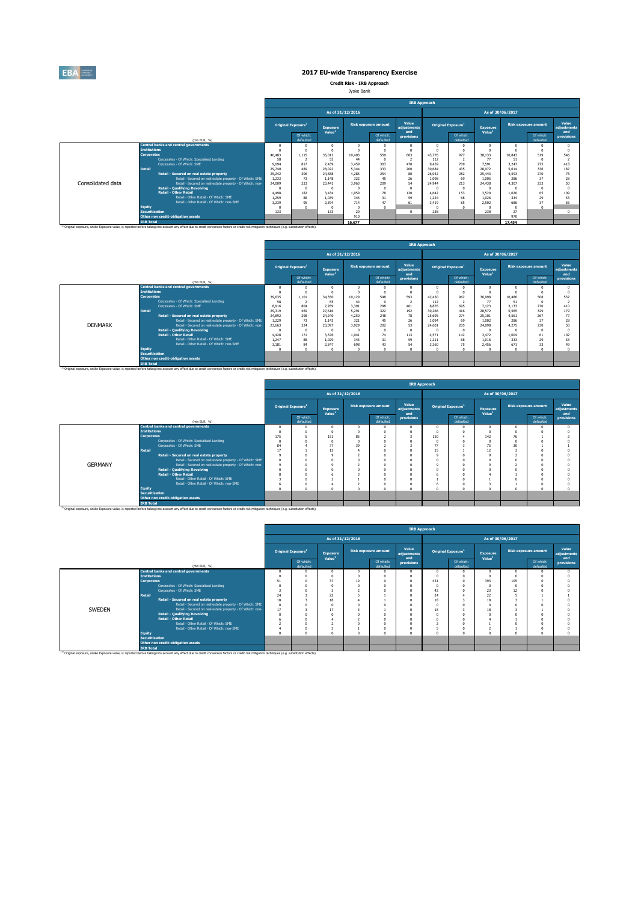

**Credit Risk - IRB Approach** Jyske Bank

|                   |                                                                                                                                                                                                    |        |                                       |                                       |                  |                             | <b>IRB Approach</b>         |          |                                |                                       |        |                             |                             |
|-------------------|----------------------------------------------------------------------------------------------------------------------------------------------------------------------------------------------------|--------|---------------------------------------|---------------------------------------|------------------|-----------------------------|-----------------------------|----------|--------------------------------|---------------------------------------|--------|-----------------------------|-----------------------------|
|                   |                                                                                                                                                                                                    |        |                                       |                                       | As of 31/12/2016 |                             |                             |          |                                | As of 30/06/2017                      |        |                             |                             |
|                   |                                                                                                                                                                                                    |        | <b>Original Exposure</b> <sup>1</sup> | <b>Exposure</b><br>Value <sup>1</sup> |                  | <b>Risk exposure amount</b> | Value<br>adiustments<br>and |          | Original Exposure <sup>1</sup> | <b>Exposure</b><br>Value <sup>1</sup> |        | <b>Risk exposure amount</b> | Value<br>adiustments<br>and |
|                   | (mln EUR. %)                                                                                                                                                                                       |        | Of which:<br>defaulted                |                                       |                  | Of which:<br>defaulted      | provisions                  |          | Of which:<br>defaulted         |                                       |        | Of which:<br>defaulted      | provisions                  |
|                   | <b>Central banks and central governments</b>                                                                                                                                                       |        |                                       |                                       |                  |                             | $\Omega$                    | $\Omega$ |                                |                                       |        |                             |                             |
|                   | <b>Tnstitutions</b>                                                                                                                                                                                |        |                                       |                                       |                  | $\Omega$                    | $\Omega$                    |          |                                |                                       |        |                             |                             |
|                   | <b>Corporates</b>                                                                                                                                                                                  | 40,483 | 1.115                                 | 35.012                                | 10,403           | 559                         | 603                         | 43,776   | 977                            | 38.133                                | 10.843 | 519                         | 546                         |
|                   | Corporates - Of Which: Specialised Lending                                                                                                                                                         | 58     |                                       | 55                                    | 44               | $\Omega$                    |                             | 112      |                                | 77                                    | 51     |                             |                             |
|                   | Corporates - Of Which: SME                                                                                                                                                                         | 9,094  | 817                                   | 7.439                                 | 3.459            | 303                         | 470                         | 9.459    | 709                            | 7.591                                 | 3.247  | 275                         | 418                         |
|                   | <b>Retail</b>                                                                                                                                                                                      | 29,740 | 489                                   | 28.022                                | 5.344            | 333                         | 200                         | 30,684   | 435                            | 28.972                                | 5.614  | 336                         | 187                         |
|                   | Retail - Secured on real estate property                                                                                                                                                           | 25.242 | 306                                   | 24,588                                | 4.285            | 254                         | 80                          | 26.042   | 282                            | 25,443                                | 4.593  | 270                         | 78                          |
|                   | Retail - Secured on real estate property - Of Which: SME                                                                                                                                           | 1.233  | 73                                    | 1.148                                 | 322              | 45                          | 26                          | 1.098    | 69                             | 1.005                                 | 286    | 37                          | 28                          |
| Consolidated data | Retail - Secured on real estate property - Of Which: non-                                                                                                                                          | 24,009 | 233                                   | 23,441                                | 3.963            | 209                         | 54                          | 24,944   | 213                            | 24,438                                | 4.307  | 233                         | 50                          |
|                   | <b>Retail - Qualifying Revolving</b>                                                                                                                                                               |        | $\Omega$                              |                                       |                  | n                           | $\Omega$                    |          |                                |                                       |        |                             |                             |
|                   | <b>Retail - Other Retail</b>                                                                                                                                                                       | 4.498  | 182                                   | 3.434                                 | 1.059            | 78                          | 120                         | 4.642    | 153                            | 3.529                                 | 1.020  | 65                          | 109                         |
|                   | Retail - Other Retail - Of Which: SME                                                                                                                                                              | 1.259  | 88                                    | 1.039                                 | 345              | 31                          | 59                          | 1.224    | 68                             | 1.026                                 | 334    | 29                          | 53                          |
|                   | Retail - Other Retail - Of Which: non-SME                                                                                                                                                          | 3.239  | 95                                    | 2.394                                 | 714              | 47                          | 61                          | 3.419    | 85                             | 2.502                                 | 686    | 37                          | 56                          |
|                   | <b>Equity</b>                                                                                                                                                                                      |        |                                       |                                       |                  | n                           |                             |          |                                |                                       |        |                             |                             |
|                   | <b>Securitisation</b>                                                                                                                                                                              | 133    |                                       | 133                                   | 20               |                             | $\Omega$                    | 238      |                                | 238                                   | 27     |                             |                             |
|                   | Other non credit-obligation assets                                                                                                                                                                 |        |                                       |                                       | 910              |                             |                             |          |                                |                                       | 970    |                             |                             |
|                   | <b>TRB Total</b>                                                                                                                                                                                   |        |                                       |                                       | 16.677           |                             |                             |          |                                |                                       | 17,454 |                             |                             |
|                   | (1) Original exposure, unlike Exposure value, is reported before taking into account any effect due to credit conversion factors or credit risk mitigation techniques (e.g. substitution effects). |        |                                       |                                       |                  |                             |                             |          |                                |                                       |        |                             |                             |

|                |                       |                                                                                                                                                                                                               |        |                                       |                                       |                  |                             | <b>IRB Approach</b>         |          |                                |                                       |                  |                             |                             |
|----------------|-----------------------|---------------------------------------------------------------------------------------------------------------------------------------------------------------------------------------------------------------|--------|---------------------------------------|---------------------------------------|------------------|-----------------------------|-----------------------------|----------|--------------------------------|---------------------------------------|------------------|-----------------------------|-----------------------------|
|                |                       |                                                                                                                                                                                                               |        |                                       |                                       | As of 31/12/2016 |                             |                             |          |                                |                                       | As of 30/06/2017 |                             |                             |
|                |                       |                                                                                                                                                                                                               |        | <b>Original Exposure</b> <sup>1</sup> | <b>Exposure</b><br>Value <sup>1</sup> |                  | <b>Risk exposure amount</b> | Value<br>adiustments<br>and |          | Original Exposure <sup>1</sup> | <b>Exposure</b><br>Value <sup>1</sup> |                  | <b>Risk exposure amount</b> | Value<br>adiustments<br>and |
|                |                       | (min EUR, %)                                                                                                                                                                                                  |        | Of which:<br>defaulted                |                                       |                  | Of which:<br>defaulted      | provisions                  |          | Of which:<br>defaulted         |                                       |                  | Of which:<br>defaulted      | provisions                  |
|                |                       | <b>Central banks and central governments</b>                                                                                                                                                                  |        |                                       |                                       |                  |                             | $\theta$                    | $\Omega$ |                                |                                       |                  |                             |                             |
|                | <b>Institutions</b>   |                                                                                                                                                                                                               |        |                                       |                                       |                  | $\Omega$                    | $\Omega$                    |          |                                |                                       |                  |                             |                             |
|                | <b>Corporates</b>     |                                                                                                                                                                                                               | 39,635 | 1.101                                 | 34.350                                | 10.129           | 548                         | 593                         | 42,450   | 962                            | 36,998                                | 10,486           | 508                         | 537                         |
|                |                       | Corporates - Of Which: Specialised Lending                                                                                                                                                                    | 58     |                                       | 55                                    | 44               | n                           | t                           | 112      |                                | 77                                    | 51               |                             |                             |
|                |                       | Corporates - Of Which: SME                                                                                                                                                                                    | 8.916  | 804                                   | 7.289                                 | 3.391            | 298                         | 461                         | 8.876    | 695                            | 7.123                                 | 3.133            | 270                         | 410                         |
|                | <b>Retail</b>         |                                                                                                                                                                                                               | 29.319 | 469                                   | 27.616                                | 5.291            | 322                         | 192                         | 30,266   | 416                            | 28.572                                | 5.565            | 329                         | 179                         |
|                |                       | Retail - Secured on real estate property                                                                                                                                                                      | 24,892 | 298                                   | 24,240                                | 4.250            | 248                         | 78                          | 25,695   | 274                            | 25.101                                | 4.561            | 267                         | 77                          |
|                |                       | Retail - Secured on real estate property - Of Which: SME                                                                                                                                                      | 1.229  | 73                                    | 1.143                                 | 321              | 45                          | 26                          | 1.094    | 69                             | 1.002                                 | 286              | 37                          | 28                          |
| <b>DENMARK</b> |                       | Retail - Secured on real estate property - Of Which: non-                                                                                                                                                     | 23,663 | 224                                   | 23,097                                | 3,929            | 202                         | 53                          | 24,601   | 205                            | 24,098                                | 4.275            | 230                         | s٥                          |
|                |                       | <b>Retail - Qualifying Revolving</b>                                                                                                                                                                          |        |                                       |                                       |                  | $\theta$                    | $\theta$                    |          | $\Omega$                       |                                       |                  |                             |                             |
|                |                       | <b>Retail - Other Retail</b>                                                                                                                                                                                  | 4.428  | 171                                   | 3.376                                 | 1.041            | 74                          | 113                         | 4.571    | 142                            | 3.472                                 | 1.004            | 61                          | 102                         |
|                |                       | Retail - Other Retail - Of Which: SME                                                                                                                                                                         | 1.247  | 88                                    | 1.029                                 | 343              | 31                          | 59                          | 1.211    | 68                             | 1.016                                 | 333              | 29                          | 53                          |
|                |                       | Retail - Other Retail - Of Which: non-SME                                                                                                                                                                     | 3.181  | 84                                    | 2.347                                 | 698              | 43                          | 54                          | 3,360    | 75                             | 2.456                                 | 671              | 33                          | 49                          |
|                | Equity                |                                                                                                                                                                                                               |        |                                       |                                       |                  |                             | $\theta$                    | $\Omega$ |                                |                                       |                  |                             |                             |
|                | <b>Securitisation</b> |                                                                                                                                                                                                               |        |                                       |                                       |                  |                             |                             |          |                                |                                       |                  |                             |                             |
|                |                       | Other non credit-obligation assets                                                                                                                                                                            |        |                                       |                                       |                  |                             |                             |          |                                |                                       |                  |                             |                             |
|                | <b>IRB Total</b>      |                                                                                                                                                                                                               |        |                                       |                                       |                  |                             |                             |          |                                |                                       |                  |                             |                             |
|                |                       | <sup>(3)</sup> Original exposure, unlike Exposure value, is reported before taking into account any effect due to credit conversion factors or credit risk mitigation techniques (e.g. substitution effects). |        |                                       |                                       |                  |                             |                             |          |                                |                                       |                  |                             |                             |

|                |                                                                                                                                                                                                                        | <b>IRB Approach</b> |                                |                                |                  |                             |                             |     |                                |                                       |    |                             |                      |  |
|----------------|------------------------------------------------------------------------------------------------------------------------------------------------------------------------------------------------------------------------|---------------------|--------------------------------|--------------------------------|------------------|-----------------------------|-----------------------------|-----|--------------------------------|---------------------------------------|----|-----------------------------|----------------------|--|
|                |                                                                                                                                                                                                                        |                     |                                |                                | As of 31/12/2016 |                             |                             |     |                                | As of 30/06/2017                      |    |                             |                      |  |
|                |                                                                                                                                                                                                                        |                     | Original Exposure <sup>1</sup> | Exposure<br>Value <sup>1</sup> |                  | <b>Risk exposure amount</b> | Value<br>adjustments<br>and |     | Original Exposure <sup>1</sup> | <b>Exposure</b><br>Value <sup>1</sup> |    | <b>Risk exposure amount</b> | Value<br>adjustments |  |
|                | (min EUR, %)                                                                                                                                                                                                           |                     | Of which:<br>defaulted         |                                |                  | Of which:<br>defaulted      | provisions                  |     | Of which:<br>defaulted         |                                       |    | Of which:<br>defaulted      | and<br>provisions    |  |
|                | <b>Central banks and central governments</b>                                                                                                                                                                           |                     |                                | $\Omega$                       |                  | n                           |                             |     |                                | $\Omega$                              | n  |                             |                      |  |
|                | <b>Institutions</b>                                                                                                                                                                                                    |                     |                                |                                |                  | n                           |                             |     |                                |                                       |    |                             |                      |  |
|                | <b>Corporates</b>                                                                                                                                                                                                      | 175                 |                                | 151                            | 85               |                             |                             | 150 |                                | 142                                   | 76 |                             |                      |  |
|                | Corporates - Of Which: Specialised Lending                                                                                                                                                                             |                     |                                |                                |                  |                             |                             |     |                                |                                       |    |                             |                      |  |
|                | Corporates - Of Which: SME                                                                                                                                                                                             | 84                  |                                | 77                             | 39               |                             |                             | 77  |                                | 75                                    | 30 |                             |                      |  |
|                | <b>Retail</b>                                                                                                                                                                                                          | 17                  |                                | 15                             |                  |                             |                             | 15  |                                | 12                                    |    |                             |                      |  |
|                | Retail - Secured on real estate property                                                                                                                                                                               | $\Omega$            |                                |                                |                  |                             |                             |     |                                |                                       |    |                             |                      |  |
|                | Retail - Secured on real estate property - Of Which: SME                                                                                                                                                               | $\theta$            |                                |                                |                  |                             |                             |     |                                |                                       |    |                             |                      |  |
| <b>GERMANY</b> | Retail - Secured on real estate property - Of Which: non-                                                                                                                                                              |                     |                                |                                |                  |                             |                             |     |                                |                                       |    |                             |                      |  |
|                | <b>Retail - Qualifying Revolving</b>                                                                                                                                                                                   |                     |                                |                                |                  |                             |                             |     |                                |                                       |    |                             |                      |  |
|                | <b>Retail - Other Retail</b>                                                                                                                                                                                           |                     |                                |                                |                  |                             |                             |     |                                |                                       |    |                             |                      |  |
|                | Retail - Other Retail - Of Which: SME                                                                                                                                                                                  |                     |                                |                                |                  |                             |                             |     |                                |                                       |    |                             |                      |  |
|                | Retail - Other Retail - Of Which: non-SME                                                                                                                                                                              |                     |                                |                                |                  | $\Omega$                    |                             |     |                                |                                       |    |                             |                      |  |
|                | <b>Equity</b><br><b>Securitisation</b>                                                                                                                                                                                 |                     |                                | $\sim$                         |                  | $\theta$                    |                             |     |                                |                                       |    |                             |                      |  |
|                |                                                                                                                                                                                                                        |                     |                                |                                |                  |                             |                             |     |                                |                                       |    |                             |                      |  |
|                | Other non credit-obligation assets                                                                                                                                                                                     |                     |                                |                                |                  |                             |                             |     |                                |                                       |    |                             |                      |  |
|                | <b>IRB Total</b><br>(1) Original exposure, unlike Exposure value, is reported before taking into account any effect due to credit conversion factors or credit risk mitigation techniques (e.g. substitution effects). |                     |                                |                                |                  |                             |                             |     |                                |                                       |    |                             |                      |  |

|        |                                                                                                                                                                                                                                   |    |                                |                                       |                  |                             | <b>IRB Approach</b>         |          |                                |                                       |     |                             |                             |
|--------|-----------------------------------------------------------------------------------------------------------------------------------------------------------------------------------------------------------------------------------|----|--------------------------------|---------------------------------------|------------------|-----------------------------|-----------------------------|----------|--------------------------------|---------------------------------------|-----|-----------------------------|-----------------------------|
|        |                                                                                                                                                                                                                                   |    |                                |                                       | As of 31/12/2016 |                             |                             |          |                                | As of 30/06/2017                      |     |                             |                             |
|        |                                                                                                                                                                                                                                   |    | Original Exposure <sup>1</sup> | <b>Exposure</b><br>Value <sup>1</sup> |                  | <b>Risk exposure amount</b> | Value<br>adjustments<br>and |          | Original Exposure <sup>1</sup> | <b>Exposure</b><br>Value <sup>1</sup> |     | <b>Risk exposure amount</b> | Value<br>adjustments<br>and |
|        | (min EUR, %)                                                                                                                                                                                                                      |    | Of which:<br>defaulted         |                                       |                  | Of which:<br>defaulted      | provisions                  |          | Of which:<br>defaulted         |                                       |     | Of which:<br>defaulted      | provisions                  |
|        | <b>Central banks and central governments</b>                                                                                                                                                                                      |    |                                | $\Omega$                              |                  |                             | $\Omega$                    | $\Omega$ |                                |                                       |     |                             |                             |
|        | <b>Tnstitutions</b>                                                                                                                                                                                                               |    |                                |                                       |                  |                             | $\Omega$                    |          |                                |                                       |     |                             |                             |
|        | <b>Corporates</b>                                                                                                                                                                                                                 | 51 |                                | 37                                    | 19               |                             | $\Omega$                    | 451      |                                | 393                                   | 105 |                             |                             |
|        | Corporates - Of Which: Specialised Lending                                                                                                                                                                                        |    |                                |                                       |                  |                             | $\Omega$                    | n        |                                |                                       |     |                             |                             |
|        | Corporates - Of Which: SME                                                                                                                                                                                                        |    |                                |                                       |                  |                             |                             | 42       |                                | 23                                    |     |                             |                             |
|        | <b>Retail</b>                                                                                                                                                                                                                     | 24 |                                | 22                                    |                  |                             |                             | 24       |                                | 22                                    |     |                             |                             |
|        | Retail - Secured on real estate property                                                                                                                                                                                          | 18 |                                | 18                                    |                  |                             |                             | 18       |                                | 18                                    |     |                             |                             |
|        | Retail - Secured on real estate property - Of Which: SME                                                                                                                                                                          |    |                                |                                       |                  |                             |                             |          |                                |                                       |     |                             |                             |
| SWEDEN | Retail - Secured on real estate property - Of Which: non-                                                                                                                                                                         | 17 |                                | $\overline{\phantom{a}}$              |                  |                             | $\Omega$                    | 18       |                                | 18                                    |     |                             |                             |
|        | <b>Retail - Qualifying Revolving</b>                                                                                                                                                                                              |    |                                |                                       |                  |                             |                             |          |                                |                                       |     |                             |                             |
|        | <b>Retail - Other Retail</b>                                                                                                                                                                                                      |    |                                |                                       |                  |                             |                             | 6        |                                |                                       |     |                             |                             |
|        | Retail - Other Retail - Of Which: SME                                                                                                                                                                                             |    |                                |                                       |                  | $\sim$                      | $\Omega$                    |          |                                |                                       |     |                             |                             |
|        | Retail - Other Retail - Of Which: non-SME                                                                                                                                                                                         |    |                                |                                       |                  |                             | $\Omega$                    |          |                                |                                       |     |                             |                             |
|        | <b>Equity</b>                                                                                                                                                                                                                     |    |                                |                                       |                  |                             | Ò                           | n        |                                |                                       |     |                             |                             |
|        | <b>Securitisation</b>                                                                                                                                                                                                             |    |                                |                                       |                  |                             |                             |          |                                |                                       |     |                             |                             |
|        | Other non credit-obligation assets                                                                                                                                                                                                |    |                                |                                       |                  |                             |                             |          |                                |                                       |     |                             |                             |
|        | <b>IRB Total</b><br><sup>(1)</sup> Original exposure, unlike Exposure value, is reported before taking into account any effect due to credit conversion factors or credit risk mitigation techniques (e.g. substitution effects). |    |                                |                                       |                  |                             |                             |          |                                |                                       |     |                             |                             |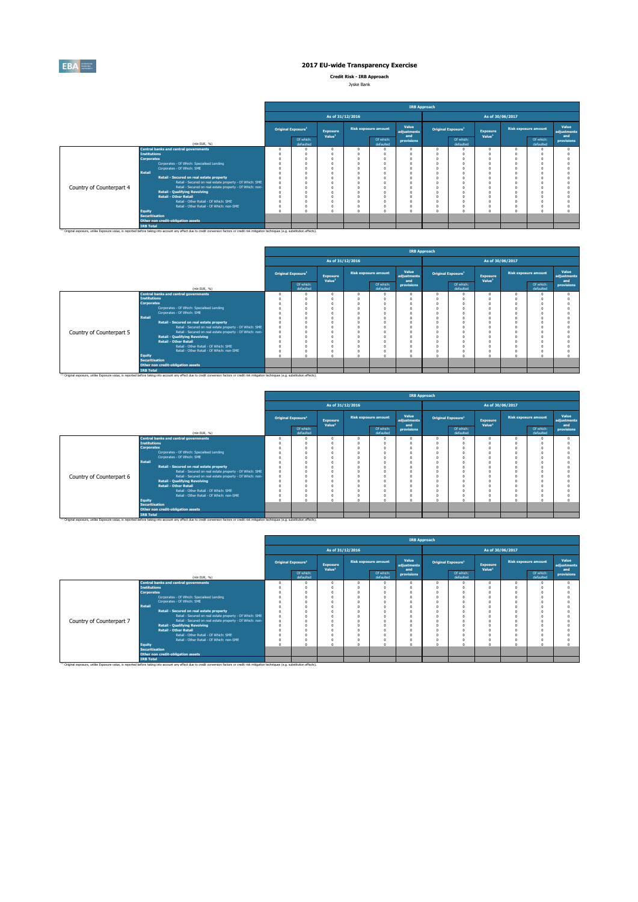

**Credit Risk - IRB Approach**

| Jyske Bank |  |
|------------|--|
|            |  |

|                          |                                          |                                                                                                                                                                                                               |                                |                                       |                             |                        | <b>IRB Approach</b>         |          |                                |                                       |                             |                             |
|--------------------------|------------------------------------------|---------------------------------------------------------------------------------------------------------------------------------------------------------------------------------------------------------------|--------------------------------|---------------------------------------|-----------------------------|------------------------|-----------------------------|----------|--------------------------------|---------------------------------------|-----------------------------|-----------------------------|
|                          |                                          |                                                                                                                                                                                                               |                                | As of 31/12/2016                      |                             |                        |                             |          |                                | As of 30/06/2017                      |                             |                             |
|                          |                                          |                                                                                                                                                                                                               | Original Exposure <sup>1</sup> | <b>Exposure</b><br>Value <sup>1</sup> | <b>Risk exposure amount</b> |                        | Value<br>adjustments<br>and |          | Original Exposure <sup>1</sup> | <b>Exposure</b><br>Value <sup>1</sup> | <b>Risk exposure amount</b> | Value<br>adjustments<br>and |
|                          |                                          | (min EUR, %)                                                                                                                                                                                                  | Of which:<br>defaulted         |                                       |                             | Of which:<br>defaulted | provisions                  |          | Of which:<br>defaulted         |                                       | Of which:<br>defaulted      | provisions                  |
|                          |                                          | <b>Central banks and central governments</b>                                                                                                                                                                  |                                |                                       |                             |                        |                             | $\Omega$ | n                              |                                       |                             |                             |
|                          | <b>Institutions</b><br><b>Corporates</b> |                                                                                                                                                                                                               |                                |                                       |                             |                        |                             | O<br>O   |                                |                                       |                             |                             |
|                          |                                          | Corporates - Of Which: Specialised Lending                                                                                                                                                                    |                                |                                       |                             |                        |                             | n        |                                |                                       |                             |                             |
|                          |                                          | Corporates - Of Which: SME                                                                                                                                                                                    |                                |                                       |                             |                        |                             | O        |                                |                                       |                             |                             |
|                          | Retail                                   |                                                                                                                                                                                                               |                                |                                       |                             |                        |                             | n<br>n   |                                |                                       |                             |                             |
|                          |                                          | Retail - Secured on real estate property<br>Retail - Secured on real estate property - Of Which: SME                                                                                                          |                                |                                       |                             |                        |                             | n        |                                |                                       |                             |                             |
| Country of Counterpart 4 |                                          | Retail - Secured on real estate property - Of Which: non-                                                                                                                                                     |                                |                                       |                             |                        |                             | n        |                                |                                       |                             |                             |
|                          |                                          | <b>Retail - Qualifying Revolving</b>                                                                                                                                                                          |                                |                                       |                             |                        |                             | O        |                                |                                       |                             |                             |
|                          |                                          | <b>Retail - Other Retail</b>                                                                                                                                                                                  |                                |                                       |                             |                        |                             | n        |                                |                                       |                             |                             |
|                          |                                          | Retail - Other Retail - Of Which: SME                                                                                                                                                                         |                                |                                       |                             |                        |                             | O        |                                |                                       |                             |                             |
|                          |                                          | Retail - Other Retail - Of Which: non-SME                                                                                                                                                                     |                                |                                       |                             |                        |                             | O        |                                |                                       |                             |                             |
|                          | Equity                                   |                                                                                                                                                                                                               |                                |                                       |                             |                        |                             | $\Omega$ |                                |                                       |                             |                             |
|                          | <b>Securitisation</b>                    | Other non credit-obligation assets                                                                                                                                                                            |                                |                                       |                             |                        |                             |          |                                |                                       |                             |                             |
|                          | <b>IRB Total</b>                         |                                                                                                                                                                                                               |                                |                                       |                             |                        |                             |          |                                |                                       |                             |                             |
|                          |                                          | <sup>(1)</sup> Original exposure, unlike Exposure value, is reported before taking into account any effect due to credit conversion factors or credit risk mitigation techniques (e.g. substitution effects). |                                |                                       |                             |                        |                             |          |                                |                                       |                             |                             |

|                          |                       |                                                                                                                                                                                                    |                                |                                       |                  |                        |                             | <b>IRB Approach</b> |                                |                                       |                             |                             |
|--------------------------|-----------------------|----------------------------------------------------------------------------------------------------------------------------------------------------------------------------------------------------|--------------------------------|---------------------------------------|------------------|------------------------|-----------------------------|---------------------|--------------------------------|---------------------------------------|-----------------------------|-----------------------------|
|                          |                       |                                                                                                                                                                                                    |                                |                                       | As of 31/12/2016 |                        |                             |                     |                                | As of 30/06/2017                      |                             |                             |
|                          |                       |                                                                                                                                                                                                    | Original Exposure <sup>1</sup> | <b>Exposure</b><br>Value <sup>1</sup> |                  | Risk exposure amount   | Value<br>adjustments<br>and |                     | Original Exposure <sup>1</sup> | <b>Exposure</b><br>Value <sup>1</sup> | <b>Risk exposure amount</b> | Value<br>adjustments<br>and |
|                          |                       | (mln EUR, %)                                                                                                                                                                                       | Of which:<br>defaulted         |                                       |                  | Of which:<br>defaulted | provisions                  |                     | Of which:<br>defaulted         |                                       | Of which:<br>defaulted      | provisions                  |
|                          |                       | <b>Central banks and central governments</b>                                                                                                                                                       |                                |                                       |                  |                        |                             |                     |                                |                                       |                             |                             |
|                          | <b>Institutions</b>   |                                                                                                                                                                                                    |                                |                                       |                  |                        |                             |                     |                                |                                       |                             |                             |
|                          | <b>Corporates</b>     |                                                                                                                                                                                                    |                                |                                       |                  |                        |                             |                     |                                |                                       |                             |                             |
|                          |                       | Corporates - Of Which: Specialised Lending                                                                                                                                                         |                                |                                       |                  |                        |                             |                     |                                |                                       |                             |                             |
|                          |                       | Corporates - Of Which: SME                                                                                                                                                                         |                                |                                       |                  |                        |                             |                     |                                |                                       |                             |                             |
|                          | <b>Retail</b>         |                                                                                                                                                                                                    |                                |                                       |                  |                        |                             |                     |                                |                                       |                             |                             |
|                          |                       | Retail - Secured on real estate property                                                                                                                                                           |                                |                                       |                  |                        |                             |                     |                                |                                       |                             |                             |
|                          |                       | Retail - Secured on real estate property - Of Which: SME                                                                                                                                           |                                |                                       |                  |                        |                             |                     |                                |                                       |                             |                             |
| Country of Counterpart 5 |                       | Retail - Secured on real estate property - Of Which: non-                                                                                                                                          |                                |                                       |                  |                        |                             |                     |                                |                                       |                             |                             |
|                          |                       | <b>Retail - Qualifying Revolving</b>                                                                                                                                                               |                                |                                       |                  |                        |                             |                     |                                |                                       |                             |                             |
|                          |                       | <b>Retail - Other Retail</b>                                                                                                                                                                       |                                |                                       |                  |                        |                             |                     |                                |                                       |                             |                             |
|                          |                       | Retail - Other Retail - Of Which: SME                                                                                                                                                              |                                |                                       |                  |                        |                             |                     |                                |                                       |                             |                             |
|                          |                       | Retail - Other Retail - Of Which: non-SME                                                                                                                                                          |                                |                                       |                  |                        |                             |                     |                                |                                       |                             |                             |
|                          | <b>Equity</b>         |                                                                                                                                                                                                    |                                |                                       |                  |                        |                             |                     |                                |                                       |                             |                             |
|                          | <b>Securitisation</b> |                                                                                                                                                                                                    |                                |                                       |                  |                        |                             |                     |                                |                                       |                             |                             |
|                          |                       | Other non credit-obligation assets                                                                                                                                                                 |                                |                                       |                  |                        |                             |                     |                                |                                       |                             |                             |
|                          | <b>IRB Total</b>      |                                                                                                                                                                                                    |                                |                                       |                  |                        |                             |                     |                                |                                       |                             |                             |
|                          |                       | (1) Original exposure, unlike Exposure value, is reported before taking into account any effect due to credit conversion factors or credit risk mitigation techniques (e.g. substitution effects). |                                |                                       |                  |                        |                             |                     |                                |                                       |                             |                             |

|                          |                                                                                                                                                                                                                                   |                                |                                       |                  |                             | <b>IRB Approach</b>         |          |                                |                                       |                             |                             |
|--------------------------|-----------------------------------------------------------------------------------------------------------------------------------------------------------------------------------------------------------------------------------|--------------------------------|---------------------------------------|------------------|-----------------------------|-----------------------------|----------|--------------------------------|---------------------------------------|-----------------------------|-----------------------------|
|                          |                                                                                                                                                                                                                                   |                                |                                       | As of 31/12/2016 |                             |                             |          |                                | As of 30/06/2017                      |                             |                             |
|                          |                                                                                                                                                                                                                                   | Original Exposure <sup>1</sup> | <b>Exposure</b><br>Value <sup>1</sup> |                  | <b>Risk exposure amount</b> | Value<br>adjustments<br>and |          | Original Exposure <sup>1</sup> | <b>Exposure</b><br>Value <sup>1</sup> | <b>Risk exposure amount</b> | Value<br>adiustments<br>and |
|                          | (min EUR, %)                                                                                                                                                                                                                      | Of which:<br>defaulted         |                                       |                  | Of which:<br>defaulted      | provisions                  |          | Of which:<br>defaulted         |                                       | Of which:<br>defaulted      | provisions                  |
|                          | <b>Central banks and central governments</b>                                                                                                                                                                                      |                                | $\Omega$                              |                  |                             | $\Omega$                    | $\Omega$ |                                | $\Omega$                              |                             |                             |
|                          | <b>Institutions</b><br><b>Corporates</b>                                                                                                                                                                                          |                                |                                       |                  | $\Omega$                    | n<br>n                      | n        |                                |                                       |                             |                             |
|                          | Corporates - Of Which: Specialised Lending                                                                                                                                                                                        |                                |                                       |                  |                             |                             | n        |                                |                                       |                             |                             |
|                          | Corporates - Of Which: SME                                                                                                                                                                                                        |                                |                                       |                  |                             |                             |          |                                |                                       |                             |                             |
|                          | <b>Retail</b>                                                                                                                                                                                                                     |                                |                                       |                  |                             | $\Omega$                    |          |                                |                                       |                             |                             |
|                          | Retail - Secured on real estate property                                                                                                                                                                                          |                                |                                       |                  |                             | $\Omega$                    | n        |                                |                                       |                             |                             |
|                          | Retail - Secured on real estate property - Of Which: SME                                                                                                                                                                          |                                |                                       |                  |                             | $\Omega$                    | n        |                                |                                       |                             |                             |
| Country of Counterpart 6 | Retail - Secured on real estate property - Of Which: non-                                                                                                                                                                         |                                |                                       |                  |                             | $\Omega$                    |          |                                |                                       |                             |                             |
|                          | <b>Retail - Qualifying Revolving</b>                                                                                                                                                                                              |                                |                                       |                  |                             | $\Omega$                    |          |                                |                                       |                             |                             |
|                          | <b>Retail - Other Retail</b>                                                                                                                                                                                                      |                                |                                       |                  | $\sqrt{2}$                  | $\Omega$                    | $\theta$ |                                |                                       |                             |                             |
|                          | Retail - Other Retail - Of Which: SME                                                                                                                                                                                             |                                |                                       |                  |                             | $\Omega$                    | o        |                                |                                       |                             |                             |
|                          | Retail - Other Retail - Of Which: non-SME                                                                                                                                                                                         |                                |                                       |                  | $\Omega$                    | $\Omega$                    | O        |                                |                                       |                             |                             |
|                          | <b>Equity</b>                                                                                                                                                                                                                     |                                |                                       |                  |                             | $\Omega$                    | $\theta$ |                                |                                       |                             |                             |
|                          | <b>Securitisation</b>                                                                                                                                                                                                             |                                |                                       |                  |                             |                             |          |                                |                                       |                             |                             |
|                          | Other non credit-obligation assets                                                                                                                                                                                                |                                |                                       |                  |                             |                             |          |                                |                                       |                             |                             |
|                          | <b>IRB Total</b><br><sup>(1)</sup> Original exposure, unlike Exposure value, is reported before taking into account any effect due to credit conversion factors or credit risk mitigation techniques (e.g. substitution effects). |                                |                                       |                  |                             |                             |          |                                |                                       |                             |                             |

|                          |                       |                                                                                                                                                                                                    |                                |                                       |                             | <b>IRB Approach</b>         |          |                                |                                       |                             |                             |
|--------------------------|-----------------------|----------------------------------------------------------------------------------------------------------------------------------------------------------------------------------------------------|--------------------------------|---------------------------------------|-----------------------------|-----------------------------|----------|--------------------------------|---------------------------------------|-----------------------------|-----------------------------|
|                          |                       |                                                                                                                                                                                                    |                                | As of 31/12/2016                      |                             |                             |          |                                | As of 30/06/2017                      |                             |                             |
|                          |                       |                                                                                                                                                                                                    | Original Exposure <sup>1</sup> | <b>Exposure</b><br>Value <sup>1</sup> | <b>Risk exposure amount</b> | Value<br>adjustments<br>and |          | Original Exposure <sup>1</sup> | <b>Exposure</b><br>Value <sup>1</sup> | <b>Risk exposure amount</b> | Value<br>adjustments<br>and |
|                          |                       | (mln EUR. %)                                                                                                                                                                                       | Of which:<br>defaulted         |                                       | Of which:<br>defaulted      | provisions                  |          | Of which:<br>defaulted         |                                       | Of which:<br>defaulted      | provisions                  |
|                          |                       | <b>Central banks and central governments</b>                                                                                                                                                       |                                | $\Omega$                              |                             | O                           | $\Omega$ |                                |                                       |                             |                             |
|                          | <b>Institutions</b>   |                                                                                                                                                                                                    |                                |                                       |                             |                             |          |                                |                                       |                             |                             |
|                          | <b>Corporates</b>     |                                                                                                                                                                                                    |                                |                                       |                             |                             |          |                                |                                       |                             |                             |
|                          |                       | Corporates - Of Which: Specialised Lending                                                                                                                                                         |                                |                                       |                             | n                           |          |                                |                                       |                             |                             |
|                          |                       | Corporates - Of Which: SME                                                                                                                                                                         |                                |                                       |                             |                             |          |                                |                                       |                             |                             |
|                          | <b>Retail</b>         |                                                                                                                                                                                                    |                                |                                       |                             |                             |          |                                |                                       |                             |                             |
|                          |                       | Retail - Secured on real estate property                                                                                                                                                           |                                |                                       |                             | $\Omega$                    |          |                                |                                       |                             |                             |
|                          |                       | Retail - Secured on real estate property - Of Which: SME                                                                                                                                           |                                |                                       |                             |                             |          |                                |                                       |                             |                             |
| Country of Counterpart 7 |                       | Retail - Secured on real estate property - Of Which: non-                                                                                                                                          |                                |                                       |                             |                             |          |                                |                                       |                             |                             |
|                          |                       | <b>Retail - Qualifying Revolving</b>                                                                                                                                                               |                                |                                       |                             | $\Omega$                    |          |                                |                                       |                             |                             |
|                          |                       | <b>Retail - Other Retail</b>                                                                                                                                                                       |                                |                                       |                             | $\Omega$                    |          |                                |                                       |                             |                             |
|                          |                       | Retail - Other Retail - Of Which: SME                                                                                                                                                              |                                |                                       |                             | $\Omega$                    |          |                                |                                       |                             |                             |
|                          |                       | Retail - Other Retail - Of Which: non-SME                                                                                                                                                          |                                |                                       |                             | $\Omega$                    | o        |                                |                                       |                             |                             |
|                          | <b>Equity</b>         |                                                                                                                                                                                                    |                                |                                       |                             | Ò                           | n        |                                |                                       |                             |                             |
|                          | <b>Securitisation</b> |                                                                                                                                                                                                    |                                |                                       |                             |                             |          |                                |                                       |                             |                             |
|                          |                       | Other non credit-obligation assets                                                                                                                                                                 |                                |                                       |                             |                             |          |                                |                                       |                             |                             |
|                          | <b>IRB Total</b>      |                                                                                                                                                                                                    |                                |                                       |                             |                             |          |                                |                                       |                             |                             |
|                          |                       | (1) Original exposure, unlike Exposure value, is reported before taking into account any effect due to credit conversion factors or credit risk mitigation techniques (e.g. substitution effects). |                                |                                       |                             |                             |          |                                |                                       |                             |                             |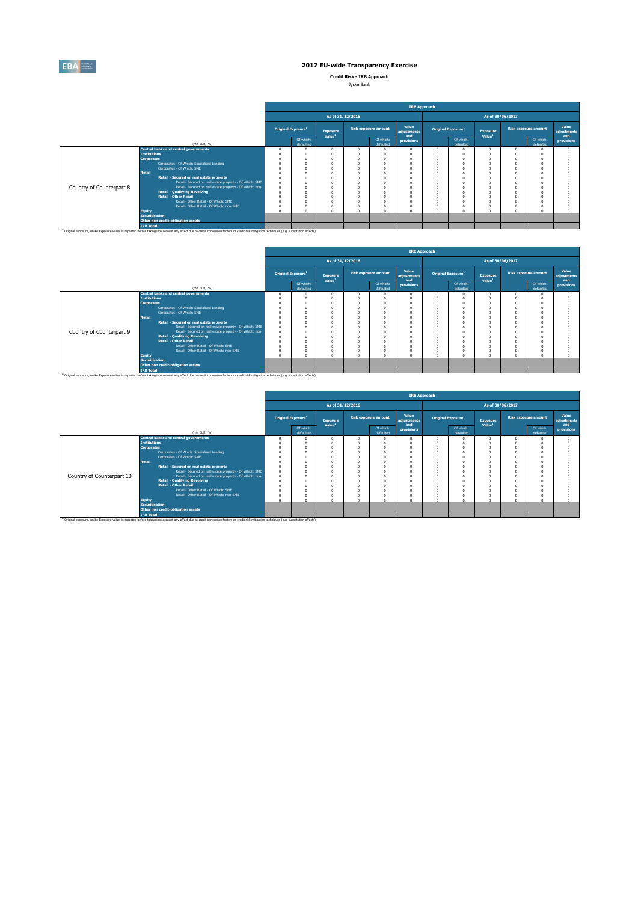

**Credit Risk - IRB Approach**

| Jyske Bank |  |
|------------|--|
|            |  |

|                          |                                                                                                                                                                                                                                                                                                                                                                                                                             |                                |                                       |                                            | <b>IRB Approach</b>         |                                                                                          |                                                                                  |                                       |                  |                             |                             |
|--------------------------|-----------------------------------------------------------------------------------------------------------------------------------------------------------------------------------------------------------------------------------------------------------------------------------------------------------------------------------------------------------------------------------------------------------------------------|--------------------------------|---------------------------------------|--------------------------------------------|-----------------------------|------------------------------------------------------------------------------------------|----------------------------------------------------------------------------------|---------------------------------------|------------------|-----------------------------|-----------------------------|
|                          |                                                                                                                                                                                                                                                                                                                                                                                                                             |                                | As of 31/12/2016                      |                                            |                             |                                                                                          |                                                                                  |                                       | As of 30/06/2017 |                             |                             |
|                          |                                                                                                                                                                                                                                                                                                                                                                                                                             | Original Exposure <sup>1</sup> | <b>Exposure</b><br>Value <sup>1</sup> | <b>Risk exposure amount</b>                | Value<br>adjustments<br>and | Original Exposure <sup>1</sup>                                                           |                                                                                  | <b>Exposure</b><br>Value <sup>1</sup> |                  | <b>Risk exposure amount</b> | Value<br>adjustments<br>and |
|                          | (min EUR. %)                                                                                                                                                                                                                                                                                                                                                                                                                | Of which:<br>defaulted         |                                       | Of which:<br>defaulted                     | provisions                  |                                                                                          | Of which:<br>defaulted                                                           |                                       |                  | Of which:<br>defaulted      | provisions                  |
| Country of Counterpart 8 | <b>Central banks and central governments</b><br><b>Institutions</b><br><b>Corporates</b><br>Corporates - Of Which: Specialised Lending<br>Corporates - Of Which: SME<br>Retail<br>Retail - Secured on real estate property<br>Retail - Secured on real estate property - Of Which: SME<br>Retail - Secured on real estate property - Of Which: non-<br><b>Retail - Qualifying Revolving</b><br><b>Retail - Other Retail</b> |                                | $\Omega$                              | n<br>n<br>$\theta$<br>$\theta$<br>$\Omega$ |                             | $^{\circ}$<br>O<br>n<br>$\Omega$<br>$\theta$<br>0<br>$\theta$<br>n<br>n<br>n<br>$\theta$ | $\Omega$<br>$\Omega$<br>$\Omega$<br>$\Omega$<br>$\Omega$<br>$\Omega$<br>$\Omega$ |                                       |                  |                             |                             |
|                          | Retail - Other Retail - Of Which: SME<br>Retail - Other Retail - Of Which: non-SME<br>Equity<br><b>Securitisation</b><br>Other non credit-obligation assets<br><b>IRB Total</b>                                                                                                                                                                                                                                             |                                |                                       | n<br>$\Omega$<br>$\theta$                  |                             | $\Omega$<br>$^{\circ}$<br>$\Omega$                                                       | $\Omega$<br>$\Omega$<br>$\Omega$                                                 |                                       |                  |                             |                             |
|                          | (1) Original exposure, unlike Exposure value, is reported before taking into account any effect due to credit conversion factors or credit risk mitigation techniques (e.g. substitution effects).                                                                                                                                                                                                                          |                                |                                       |                                            |                             |                                                                                          |                                                                                  |                                       |                  |                             |                             |

|                          |                       |                                                                                                                                                                                                               |                                |                                       |                  |                             | <b>IRB Approach</b>         |          |                                |                                |                             |                             |
|--------------------------|-----------------------|---------------------------------------------------------------------------------------------------------------------------------------------------------------------------------------------------------------|--------------------------------|---------------------------------------|------------------|-----------------------------|-----------------------------|----------|--------------------------------|--------------------------------|-----------------------------|-----------------------------|
|                          |                       |                                                                                                                                                                                                               |                                |                                       | As of 31/12/2016 |                             |                             |          |                                | As of 30/06/2017               |                             |                             |
|                          |                       |                                                                                                                                                                                                               | Original Exposure <sup>1</sup> | <b>Exposure</b><br>Value <sup>1</sup> |                  | <b>Risk exposure amount</b> | Value<br>adjustments<br>and |          | Original Exposure <sup>1</sup> | Exposure<br>Value <sup>1</sup> | <b>Risk exposure amount</b> | Value<br>adjustments<br>and |
|                          |                       | (min EUR. %)                                                                                                                                                                                                  | Of which:<br>defaulted         |                                       |                  | Of which:<br>defaulted      | provisions                  |          | Of which:<br>defaulted         |                                | Of which:<br>defaulted      | provisions                  |
|                          |                       | <b>Central banks and central governments</b>                                                                                                                                                                  |                                |                                       |                  |                             |                             | $\Omega$ | $\Omega$                       |                                |                             |                             |
|                          | <b>Institutions</b>   |                                                                                                                                                                                                               |                                |                                       |                  |                             |                             |          |                                |                                |                             |                             |
|                          | <b>Corporates</b>     |                                                                                                                                                                                                               |                                |                                       |                  |                             |                             |          |                                |                                |                             |                             |
|                          |                       | Corporates - Of Which: Specialised Lending                                                                                                                                                                    |                                |                                       |                  |                             |                             |          |                                |                                |                             |                             |
|                          |                       | Corporates - Of Which: SME                                                                                                                                                                                    |                                |                                       |                  |                             |                             |          | $\Omega$                       |                                |                             |                             |
|                          | Retail                |                                                                                                                                                                                                               |                                |                                       |                  |                             |                             |          |                                |                                |                             |                             |
|                          |                       | Retail - Secured on real estate property                                                                                                                                                                      |                                |                                       |                  |                             |                             | $\Omega$ | $\Omega$                       |                                |                             |                             |
|                          |                       | Retail - Secured on real estate property - Of Which: SME                                                                                                                                                      |                                |                                       |                  |                             |                             |          | $\Omega$                       |                                |                             |                             |
| Country of Counterpart 9 |                       | Retail - Secured on real estate property - Of Which: non-                                                                                                                                                     |                                |                                       |                  |                             |                             |          |                                |                                |                             |                             |
|                          |                       | <b>Retail - Qualifying Revolving</b>                                                                                                                                                                          |                                |                                       |                  |                             |                             |          |                                |                                |                             |                             |
|                          |                       | <b>Retail - Other Retail</b>                                                                                                                                                                                  |                                |                                       |                  |                             |                             |          |                                |                                |                             |                             |
|                          |                       | Retail - Other Retail - Of Which: SME                                                                                                                                                                         |                                |                                       |                  |                             |                             |          |                                |                                |                             |                             |
|                          |                       | Retail - Other Retail - Of Which: non-SME                                                                                                                                                                     |                                |                                       |                  |                             |                             |          | $\Omega$                       |                                |                             |                             |
|                          | <b>Equity</b>         |                                                                                                                                                                                                               |                                |                                       |                  |                             |                             | $\Omega$ |                                |                                |                             |                             |
|                          | <b>Securitisation</b> |                                                                                                                                                                                                               |                                |                                       |                  |                             |                             |          |                                |                                |                             |                             |
|                          |                       | Other non credit-obligation assets                                                                                                                                                                            |                                |                                       |                  |                             |                             |          |                                |                                |                             |                             |
|                          | <b>IRB Total</b>      |                                                                                                                                                                                                               |                                |                                       |                  |                             |                             |          |                                |                                |                             |                             |
|                          |                       | <sup>(1)</sup> Original exposure, unlike Exposure value, is reported before taking into account any effect due to credit conversion factors or credit risk mitigation techniques (e.g. substitution effects). |                                |                                       |                  |                             |                             |          |                                |                                |                             |                             |

|                           |                       |                                                                                                                                                                                                               |                                |                                       |                  |                             | <b>IRB Approach</b>         |                                |                        |                                       |                             |                        |                             |
|---------------------------|-----------------------|---------------------------------------------------------------------------------------------------------------------------------------------------------------------------------------------------------------|--------------------------------|---------------------------------------|------------------|-----------------------------|-----------------------------|--------------------------------|------------------------|---------------------------------------|-----------------------------|------------------------|-----------------------------|
|                           |                       |                                                                                                                                                                                                               |                                |                                       | As of 31/12/2016 |                             |                             |                                |                        | As of 30/06/2017                      |                             |                        |                             |
|                           |                       |                                                                                                                                                                                                               | Original Exposure <sup>1</sup> | <b>Exposure</b><br>Value <sup>1</sup> |                  | <b>Risk exposure amount</b> | Value<br>adjustments<br>and | Original Exposure <sup>1</sup> |                        | <b>Exposure</b><br>Value <sup>1</sup> | <b>Risk exposure amount</b> |                        | Value<br>adjustments<br>and |
|                           |                       | (min EUR, %)                                                                                                                                                                                                  | Of which:<br>defaulted         |                                       |                  | Of which:<br>defaulted      | provisions                  |                                | Of which:<br>defaulted |                                       |                             | Of which:<br>defaulted | provisions                  |
|                           |                       | <b>Central banks and central governments</b>                                                                                                                                                                  |                                |                                       |                  |                             |                             |                                |                        |                                       |                             |                        |                             |
|                           | <b>Institutions</b>   |                                                                                                                                                                                                               |                                |                                       |                  |                             |                             |                                |                        |                                       |                             |                        |                             |
|                           | <b>Corporates</b>     |                                                                                                                                                                                                               |                                |                                       |                  |                             |                             |                                |                        |                                       |                             |                        |                             |
|                           |                       | Corporates - Of Which: Specialised Lending                                                                                                                                                                    |                                |                                       |                  |                             |                             |                                |                        |                                       |                             |                        |                             |
|                           |                       | Corporates - Of Which: SME                                                                                                                                                                                    |                                |                                       |                  |                             |                             |                                |                        |                                       |                             |                        |                             |
|                           | Retail                |                                                                                                                                                                                                               |                                |                                       |                  |                             |                             |                                |                        |                                       |                             |                        |                             |
|                           |                       | Retail - Secured on real estate property                                                                                                                                                                      |                                |                                       |                  |                             |                             |                                |                        |                                       |                             |                        |                             |
|                           |                       | Retail - Secured on real estate property - Of Which: SME                                                                                                                                                      |                                |                                       |                  |                             |                             |                                |                        |                                       |                             |                        |                             |
| Country of Counterpart 10 |                       | Retail - Secured on real estate property - Of Which: non-                                                                                                                                                     |                                |                                       |                  |                             |                             |                                |                        |                                       |                             |                        |                             |
|                           |                       | <b>Retail - Qualifying Revolving</b>                                                                                                                                                                          |                                |                                       |                  |                             |                             |                                |                        |                                       |                             |                        |                             |
|                           |                       | <b>Retail - Other Retail</b>                                                                                                                                                                                  |                                |                                       |                  |                             |                             |                                |                        |                                       |                             |                        |                             |
|                           |                       | Retail - Other Retail - Of Which: SME                                                                                                                                                                         |                                |                                       |                  |                             |                             |                                |                        |                                       |                             |                        |                             |
|                           |                       | Retail - Other Retail - Of Which: non-SME                                                                                                                                                                     |                                |                                       |                  |                             |                             |                                |                        |                                       |                             |                        |                             |
|                           | <b>Equity</b>         |                                                                                                                                                                                                               |                                |                                       |                  | $\sim$                      |                             |                                |                        |                                       |                             |                        |                             |
|                           | <b>Securitisation</b> |                                                                                                                                                                                                               |                                |                                       |                  |                             |                             |                                |                        |                                       |                             |                        |                             |
|                           |                       | Other non credit-obligation assets                                                                                                                                                                            |                                |                                       |                  |                             |                             |                                |                        |                                       |                             |                        |                             |
|                           | <b>IRB Total</b>      |                                                                                                                                                                                                               |                                |                                       |                  |                             |                             |                                |                        |                                       |                             |                        |                             |
|                           |                       | <sup>(1)</sup> Original exposure, unlike Exposure value, is reported before taking into account any effect due to credit conversion factors or credit risk mitigation techniques (e.g. substitution effects). |                                |                                       |                  |                             |                             |                                |                        |                                       |                             |                        |                             |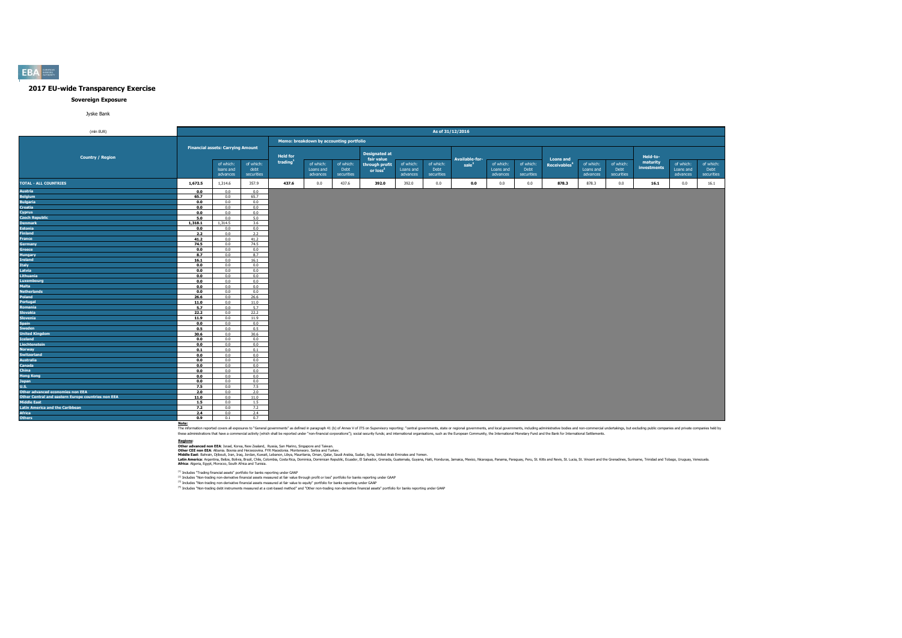#### **Sovereign Exposure**

Jyske Bank

| (mln EUR)                                          |            |                                          |                                 |                 |                                         |                                 |                                        |                                    | As of 31/12/2016                |                  |                                    |                                 |                          |                                    |                                 |                         |                                    |                                 |
|----------------------------------------------------|------------|------------------------------------------|---------------------------------|-----------------|-----------------------------------------|---------------------------------|----------------------------------------|------------------------------------|---------------------------------|------------------|------------------------------------|---------------------------------|--------------------------|------------------------------------|---------------------------------|-------------------------|------------------------------------|---------------------------------|
|                                                    |            |                                          |                                 |                 | Memo: breakdown by accounting portfolio |                                 |                                        |                                    |                                 |                  |                                    |                                 |                          |                                    |                                 |                         |                                    |                                 |
| <b>Country / Region</b>                            |            | <b>Financial assets: Carrying Amount</b> |                                 | <b>Held for</b> |                                         |                                 | <b>Designated at</b><br>fair value     |                                    |                                 | Available-for-   |                                    |                                 | <b>Loans and</b>         |                                    |                                 | Held-to-                |                                    |                                 |
|                                                    |            | of which:<br>loans and<br>advances       | of which:<br>debt<br>securities | trading         | of which:<br>Loans and<br>advances      | of which:<br>Debt<br>securities | through profit<br>or loss <sup>2</sup> | of which:<br>Loans and<br>advances | of which:<br>Debt<br>securities | sub <sup>3</sup> | of which:<br>Loans and<br>advances | of which:<br>Debt<br>securities | Receivables <sup>4</sup> | of which:<br>Loans and<br>advances | of which:<br>Debt<br>securities | maturity<br>investments | of which:<br>Loans and<br>advances | of which:<br>Debt<br>securities |
| <b>TOTAL - ALL COUNTRIES</b>                       | 1,672.5    | 1,314.6                                  | 357.9                           | 437.6           | 0.0                                     | 437.6                           | 392.0                                  | 392.0                              | 0.0                             | 0.0              | 0.0                                | 0.0                             | 878.3                    | 878.3                              | 0.0                             | 16.1                    | 0.0                                | 16.1                            |
| Austria                                            | 0.0        | 0.0                                      | 0.0                             |                 |                                         |                                 |                                        |                                    |                                 |                  |                                    |                                 |                          |                                    |                                 |                         |                                    |                                 |
| <b>Belgium</b>                                     | 65.7       | 0.0                                      | 65.7                            |                 |                                         |                                 |                                        |                                    |                                 |                  |                                    |                                 |                          |                                    |                                 |                         |                                    |                                 |
| <b>Bulgaria</b>                                    | 0.0        | 0.0                                      | 0.0                             |                 |                                         |                                 |                                        |                                    |                                 |                  |                                    |                                 |                          |                                    |                                 |                         |                                    |                                 |
| Croatia                                            | 0.0        | 0.0                                      | 0.0                             |                 |                                         |                                 |                                        |                                    |                                 |                  |                                    |                                 |                          |                                    |                                 |                         |                                    |                                 |
| Cyprus                                             | 0.0        | 0.0                                      | 0.0                             |                 |                                         |                                 |                                        |                                    |                                 |                  |                                    |                                 |                          |                                    |                                 |                         |                                    |                                 |
| <b>Czech Republic</b>                              | 5.0        | 0.0                                      | 5.0                             |                 |                                         |                                 |                                        |                                    |                                 |                  |                                    |                                 |                          |                                    |                                 |                         |                                    |                                 |
| <b>Denmark</b>                                     | 1,318.1    | 1.314.5                                  | 3.6                             |                 |                                         |                                 |                                        |                                    |                                 |                  |                                    |                                 |                          |                                    |                                 |                         |                                    |                                 |
| Estonia                                            | 0.0        | 0.0                                      | 0.0                             |                 |                                         |                                 |                                        |                                    |                                 |                  |                                    |                                 |                          |                                    |                                 |                         |                                    |                                 |
| <b>Finland</b>                                     | 2.2        | 0.0                                      | 2.2                             |                 |                                         |                                 |                                        |                                    |                                 |                  |                                    |                                 |                          |                                    |                                 |                         |                                    |                                 |
| France                                             | 41.2       | 0.0                                      | 41.2                            |                 |                                         |                                 |                                        |                                    |                                 |                  |                                    |                                 |                          |                                    |                                 |                         |                                    |                                 |
| Germany                                            | 74.5       | 0.0                                      | 74.5                            |                 |                                         |                                 |                                        |                                    |                                 |                  |                                    |                                 |                          |                                    |                                 |                         |                                    |                                 |
| Greece                                             | 0.0        | 0.0                                      | 0.0                             |                 |                                         |                                 |                                        |                                    |                                 |                  |                                    |                                 |                          |                                    |                                 |                         |                                    |                                 |
| <b>Hungary</b>                                     | 8.7        | 0.0                                      | 8.7                             |                 |                                         |                                 |                                        |                                    |                                 |                  |                                    |                                 |                          |                                    |                                 |                         |                                    |                                 |
| Ireland                                            | 16.1       | 0.0                                      | 16.1                            |                 |                                         |                                 |                                        |                                    |                                 |                  |                                    |                                 |                          |                                    |                                 |                         |                                    |                                 |
| <b>Italy</b>                                       | 0.0        | 0.0                                      | 0.0                             |                 |                                         |                                 |                                        |                                    |                                 |                  |                                    |                                 |                          |                                    |                                 |                         |                                    |                                 |
| Latvia<br>Lithuania                                | 0.0        | 0.0                                      | 0.0                             |                 |                                         |                                 |                                        |                                    |                                 |                  |                                    |                                 |                          |                                    |                                 |                         |                                    |                                 |
|                                                    | 0.0        | 0.0                                      | 0.0                             |                 |                                         |                                 |                                        |                                    |                                 |                  |                                    |                                 |                          |                                    |                                 |                         |                                    |                                 |
| Luxembourg<br>Malta                                | 0.0<br>0.0 | 0.0<br>0.0                               | 0.0<br>0.0                      |                 |                                         |                                 |                                        |                                    |                                 |                  |                                    |                                 |                          |                                    |                                 |                         |                                    |                                 |
|                                                    | 0.0        | 0.0                                      | 0.0                             |                 |                                         |                                 |                                        |                                    |                                 |                  |                                    |                                 |                          |                                    |                                 |                         |                                    |                                 |
| <b>Netherlands</b><br>Poland                       | 26.6       | 0.0                                      | 26.6                            |                 |                                         |                                 |                                        |                                    |                                 |                  |                                    |                                 |                          |                                    |                                 |                         |                                    |                                 |
| Portugal                                           | 11.0       | 0.0                                      | 11.0                            |                 |                                         |                                 |                                        |                                    |                                 |                  |                                    |                                 |                          |                                    |                                 |                         |                                    |                                 |
| Romania                                            | 5.7        | 0.0                                      | 5.7                             |                 |                                         |                                 |                                        |                                    |                                 |                  |                                    |                                 |                          |                                    |                                 |                         |                                    |                                 |
| Slovakia                                           | 22.2       | 0.0                                      | 22.2                            |                 |                                         |                                 |                                        |                                    |                                 |                  |                                    |                                 |                          |                                    |                                 |                         |                                    |                                 |
| <b>Slovenia</b>                                    | 11.9       | 0.0                                      | 11.9                            |                 |                                         |                                 |                                        |                                    |                                 |                  |                                    |                                 |                          |                                    |                                 |                         |                                    |                                 |
| Spain                                              | 0.0        | 0.0                                      | 0.0                             |                 |                                         |                                 |                                        |                                    |                                 |                  |                                    |                                 |                          |                                    |                                 |                         |                                    |                                 |
| Sweden                                             | 0.5        | 0.0                                      | 0.5                             |                 |                                         |                                 |                                        |                                    |                                 |                  |                                    |                                 |                          |                                    |                                 |                         |                                    |                                 |
| <b>United Kingdom</b>                              | 30.6       | 0.0                                      | 30.6                            |                 |                                         |                                 |                                        |                                    |                                 |                  |                                    |                                 |                          |                                    |                                 |                         |                                    |                                 |
| Iceland                                            | 0.0        | 0.0                                      | 0.0                             |                 |                                         |                                 |                                        |                                    |                                 |                  |                                    |                                 |                          |                                    |                                 |                         |                                    |                                 |
| Liechtenstein                                      | 0.0        | 0.0                                      | 0.0                             |                 |                                         |                                 |                                        |                                    |                                 |                  |                                    |                                 |                          |                                    |                                 |                         |                                    |                                 |
| Norway                                             | 0.1        | 0.0                                      | 0.1                             |                 |                                         |                                 |                                        |                                    |                                 |                  |                                    |                                 |                          |                                    |                                 |                         |                                    |                                 |
| <b>Switzerland</b>                                 | 0.0        | 0.0                                      | 0.0                             |                 |                                         |                                 |                                        |                                    |                                 |                  |                                    |                                 |                          |                                    |                                 |                         |                                    |                                 |
| Australia                                          | 0.0        | 0.0                                      | 0.0                             |                 |                                         |                                 |                                        |                                    |                                 |                  |                                    |                                 |                          |                                    |                                 |                         |                                    |                                 |
| Canada                                             | 0.0        | 0.0                                      | 0.0                             |                 |                                         |                                 |                                        |                                    |                                 |                  |                                    |                                 |                          |                                    |                                 |                         |                                    |                                 |
| <b>China</b>                                       | 0.0        | 0.0                                      | 0.0                             |                 |                                         |                                 |                                        |                                    |                                 |                  |                                    |                                 |                          |                                    |                                 |                         |                                    |                                 |
| <b>Hong Kong</b>                                   | 0.0        | 0.0                                      | 0.0                             |                 |                                         |                                 |                                        |                                    |                                 |                  |                                    |                                 |                          |                                    |                                 |                         |                                    |                                 |
| Japan                                              | 0.0        | 0.0                                      | 0.0                             |                 |                                         |                                 |                                        |                                    |                                 |                  |                                    |                                 |                          |                                    |                                 |                         |                                    |                                 |
| <b>U.S.</b>                                        | 7.5        | 0.0                                      | 7.5                             |                 |                                         |                                 |                                        |                                    |                                 |                  |                                    |                                 |                          |                                    |                                 |                         |                                    |                                 |
| Other advanced economies non EEA                   | 2.0        | 0.0                                      | 2.0                             |                 |                                         |                                 |                                        |                                    |                                 |                  |                                    |                                 |                          |                                    |                                 |                         |                                    |                                 |
| Other Central and eastern Europe countries non EEA | 11.0       | 0.0                                      | 11.0                            |                 |                                         |                                 |                                        |                                    |                                 |                  |                                    |                                 |                          |                                    |                                 |                         |                                    |                                 |
| Middle East                                        | 1.5        | 0.0                                      | 1.5                             |                 |                                         |                                 |                                        |                                    |                                 |                  |                                    |                                 |                          |                                    |                                 |                         |                                    |                                 |
| <b>Latin America and the Caribbean</b>             | 7.2        | 0.0                                      | 7.2                             |                 |                                         |                                 |                                        |                                    |                                 |                  |                                    |                                 |                          |                                    |                                 |                         |                                    |                                 |
| Africa                                             | 2.4        | 0.0                                      | 2.4                             |                 |                                         |                                 |                                        |                                    |                                 |                  |                                    |                                 |                          |                                    |                                 |                         |                                    |                                 |
| <b>Others</b>                                      | 0.9        | 0.1                                      | 0.7                             |                 |                                         |                                 |                                        |                                    |                                 |                  |                                    |                                 |                          |                                    |                                 |                         |                                    |                                 |

Note:<br>The information reported covers all exposures to "General governments" as defined in paraggin 41 (b) of Annex V of ITS on Supervisory reporting: "central governments, state or regional governments, and both governmen

**Redions:**<br>Other afvanced non EEA: Israel, Korea, New Zealand, Russia, San Marino, Singore and Taiwan.<br>Middle East: Bahain, Dilouti, Iran, Iran, Jordan, Kuran, Libya, Mewhamenn: Semina, Oman, Suna, Suna, Suna, United Arab

(1) Includes "Trading financial assets" portfolio for banks reporting under GAAP

<sup>(2)</sup> Includes "Non-trading non-derivative financial assets measured at fair value through profit or loss" portfolio for banks reporting under GAAP<br><sup>03</sup> Includes "Non-trading non-derivative financial and and the major bank

**EBA**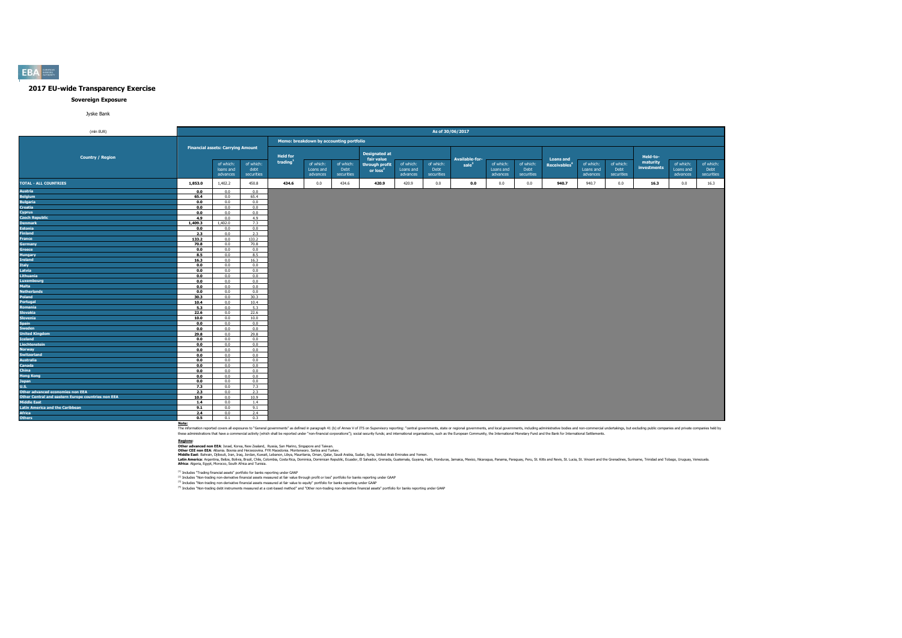#### **Sovereign Exposure**

Jyske Bank

| (mln EUR)                                          |            |                                          |                                 |                 |                                         |                                 |                                                      |                                    | As of 30/06/2017                |                                     |                                    |                                 |                                              |                                    |                                 |                         |                                    |                                 |
|----------------------------------------------------|------------|------------------------------------------|---------------------------------|-----------------|-----------------------------------------|---------------------------------|------------------------------------------------------|------------------------------------|---------------------------------|-------------------------------------|------------------------------------|---------------------------------|----------------------------------------------|------------------------------------|---------------------------------|-------------------------|------------------------------------|---------------------------------|
|                                                    |            |                                          |                                 |                 | Memo: breakdown by accounting portfolio |                                 |                                                      |                                    |                                 |                                     |                                    |                                 |                                              |                                    |                                 |                         |                                    |                                 |
| <b>Country / Region</b>                            |            | <b>Financial assets: Carrying Amount</b> |                                 | <b>Held for</b> |                                         |                                 | <b>Designated at</b>                                 |                                    |                                 |                                     |                                    |                                 |                                              |                                    |                                 | Held-to-                |                                    |                                 |
|                                                    |            | of which:<br>loans and<br>advances       | of which:<br>debt<br>securities | trading         | of which:<br>Loans and<br>advances      | of which:<br>Debt<br>securities | fair value<br>through profit<br>or loss <sup>2</sup> | of which:<br>Loans and<br>advances | of which:<br>Debt<br>securities | Available-for-<br>sale <sup>3</sup> | of which:<br>Loans and<br>advances | of which:<br>Debt<br>securities | <b>Loans and</b><br>Receivables <sup>4</sup> | of which:<br>Loans and<br>advances | of which:<br>Debt<br>securities | maturity<br>investments | of which:<br>Loans and<br>advances | of which:<br>Debt<br>securities |
| <b>TOTAL - ALL COUNTRIES</b>                       | 1,853.0    | 1,402.2                                  | 450.8                           | 434.6           | 0.0                                     | 434.6                           | 420.9                                                | 420.9                              | 0.0                             | 0.0                                 | 0.0                                | 0.0                             | 940.7                                        | 940.7                              | 0.0                             | 16.3                    | 0.0                                | 16.3                            |
| Austria                                            | 0.0        | 0.0                                      | 0.0                             |                 |                                         |                                 |                                                      |                                    |                                 |                                     |                                    |                                 |                                              |                                    |                                 |                         |                                    |                                 |
| <b>Belgium</b>                                     | 65.4       | 0.0                                      | 65.4                            |                 |                                         |                                 |                                                      |                                    |                                 |                                     |                                    |                                 |                                              |                                    |                                 |                         |                                    |                                 |
| <b>Bulgaria</b>                                    | 0.0        | 0.0                                      | 0.0                             |                 |                                         |                                 |                                                      |                                    |                                 |                                     |                                    |                                 |                                              |                                    |                                 |                         |                                    |                                 |
| Croatia                                            | 0.0        | 0.0                                      | 0.0                             |                 |                                         |                                 |                                                      |                                    |                                 |                                     |                                    |                                 |                                              |                                    |                                 |                         |                                    |                                 |
| Cyprus                                             | 0.0        | 0.0                                      | 0.0                             |                 |                                         |                                 |                                                      |                                    |                                 |                                     |                                    |                                 |                                              |                                    |                                 |                         |                                    |                                 |
| <b>Czech Republic</b>                              | 4.9        | 0.0                                      | 4.9                             |                 |                                         |                                 |                                                      |                                    |                                 |                                     |                                    |                                 |                                              |                                    |                                 |                         |                                    |                                 |
| <b>Denmark</b>                                     | 1,409.3    | 1,402.0                                  | 7.3                             |                 |                                         |                                 |                                                      |                                    |                                 |                                     |                                    |                                 |                                              |                                    |                                 |                         |                                    |                                 |
| <b>Estonia</b>                                     | 0.0        | 0.0                                      | 0.0                             |                 |                                         |                                 |                                                      |                                    |                                 |                                     |                                    |                                 |                                              |                                    |                                 |                         |                                    |                                 |
| <b>Finland</b>                                     | 2.3        | 0.0                                      | 2.3                             |                 |                                         |                                 |                                                      |                                    |                                 |                                     |                                    |                                 |                                              |                                    |                                 |                         |                                    |                                 |
| France                                             | 133.2      | 0.0                                      | 133.2                           |                 |                                         |                                 |                                                      |                                    |                                 |                                     |                                    |                                 |                                              |                                    |                                 |                         |                                    |                                 |
| <b>Germany</b>                                     | 70.8       | 0.0                                      | 70.8                            |                 |                                         |                                 |                                                      |                                    |                                 |                                     |                                    |                                 |                                              |                                    |                                 |                         |                                    |                                 |
| Greece                                             | 0.0        | 0.0                                      | 0.0                             |                 |                                         |                                 |                                                      |                                    |                                 |                                     |                                    |                                 |                                              |                                    |                                 |                         |                                    |                                 |
| Hungary                                            | 8.5        | 0.0                                      | 8.5                             |                 |                                         |                                 |                                                      |                                    |                                 |                                     |                                    |                                 |                                              |                                    |                                 |                         |                                    |                                 |
| Ireland                                            | 16.3       | 0.0                                      | 16.3                            |                 |                                         |                                 |                                                      |                                    |                                 |                                     |                                    |                                 |                                              |                                    |                                 |                         |                                    |                                 |
| <b>Italy</b>                                       | 0.0        | 0.0                                      | 0.0                             |                 |                                         |                                 |                                                      |                                    |                                 |                                     |                                    |                                 |                                              |                                    |                                 |                         |                                    |                                 |
| Latvia                                             | 0.0        | 0.0                                      | 0.0                             |                 |                                         |                                 |                                                      |                                    |                                 |                                     |                                    |                                 |                                              |                                    |                                 |                         |                                    |                                 |
| Lithuania                                          | 0.0        | 0.0                                      | 0.0                             |                 |                                         |                                 |                                                      |                                    |                                 |                                     |                                    |                                 |                                              |                                    |                                 |                         |                                    |                                 |
| Luxembourg                                         | 0.0        | 0.0                                      | 0.0                             |                 |                                         |                                 |                                                      |                                    |                                 |                                     |                                    |                                 |                                              |                                    |                                 |                         |                                    |                                 |
| Malta                                              | 0.0        | 0.0                                      | 0.0                             |                 |                                         |                                 |                                                      |                                    |                                 |                                     |                                    |                                 |                                              |                                    |                                 |                         |                                    |                                 |
| <b>Netherlands</b>                                 | 0.0        | 0.0                                      | 0.0                             |                 |                                         |                                 |                                                      |                                    |                                 |                                     |                                    |                                 |                                              |                                    |                                 |                         |                                    |                                 |
| Poland                                             | 30.3       | 0.0                                      | 30.3                            |                 |                                         |                                 |                                                      |                                    |                                 |                                     |                                    |                                 |                                              |                                    |                                 |                         |                                    |                                 |
| Portugal                                           | 10.4       | 0.0                                      | 10.4                            |                 |                                         |                                 |                                                      |                                    |                                 |                                     |                                    |                                 |                                              |                                    |                                 |                         |                                    |                                 |
| Romania                                            | 5.3        | 0.0                                      | 5.3                             |                 |                                         |                                 |                                                      |                                    |                                 |                                     |                                    |                                 |                                              |                                    |                                 |                         |                                    |                                 |
| <b>Slovakia</b>                                    | 22.6       | 0.0                                      | 22.6                            |                 |                                         |                                 |                                                      |                                    |                                 |                                     |                                    |                                 |                                              |                                    |                                 |                         |                                    |                                 |
| <b>Slovenia</b>                                    | 10.0       | 0.0                                      | 10.0                            |                 |                                         |                                 |                                                      |                                    |                                 |                                     |                                    |                                 |                                              |                                    |                                 |                         |                                    |                                 |
| <b>Spain</b>                                       | 0.0<br>0.0 | 0.0<br>0.0                               | 0.0<br>0.0                      |                 |                                         |                                 |                                                      |                                    |                                 |                                     |                                    |                                 |                                              |                                    |                                 |                         |                                    |                                 |
| Sweden<br><b>United Kingdom</b>                    | 29.8       | 0.0                                      | 29.8                            |                 |                                         |                                 |                                                      |                                    |                                 |                                     |                                    |                                 |                                              |                                    |                                 |                         |                                    |                                 |
| Iceland                                            | 0.0        | 0.0                                      | 0.0                             |                 |                                         |                                 |                                                      |                                    |                                 |                                     |                                    |                                 |                                              |                                    |                                 |                         |                                    |                                 |
| Liechtenstein                                      | 0.0        | 0.0                                      | 0.0                             |                 |                                         |                                 |                                                      |                                    |                                 |                                     |                                    |                                 |                                              |                                    |                                 |                         |                                    |                                 |
| <b>Norway</b>                                      | 0.0        | 0.0                                      | 0.0                             |                 |                                         |                                 |                                                      |                                    |                                 |                                     |                                    |                                 |                                              |                                    |                                 |                         |                                    |                                 |
| <b>Switzerland</b>                                 | 0.0        | 0.0                                      | 0.0                             |                 |                                         |                                 |                                                      |                                    |                                 |                                     |                                    |                                 |                                              |                                    |                                 |                         |                                    |                                 |
| <b>Australia</b>                                   | 0.0        | 0.0                                      | 0.0                             |                 |                                         |                                 |                                                      |                                    |                                 |                                     |                                    |                                 |                                              |                                    |                                 |                         |                                    |                                 |
| Canada                                             | 0.0        | 0.0                                      | 0.0                             |                 |                                         |                                 |                                                      |                                    |                                 |                                     |                                    |                                 |                                              |                                    |                                 |                         |                                    |                                 |
| <b>China</b>                                       | 0.0        | 0.0                                      | 0.0                             |                 |                                         |                                 |                                                      |                                    |                                 |                                     |                                    |                                 |                                              |                                    |                                 |                         |                                    |                                 |
| <b>Hong Kong</b>                                   | 0.0        | 0.0                                      | 0.0                             |                 |                                         |                                 |                                                      |                                    |                                 |                                     |                                    |                                 |                                              |                                    |                                 |                         |                                    |                                 |
| Japan                                              | 0.0        | 0.0                                      | 0.0                             |                 |                                         |                                 |                                                      |                                    |                                 |                                     |                                    |                                 |                                              |                                    |                                 |                         |                                    |                                 |
| <b>U.S.</b>                                        | 7.3        | 0.0                                      | 7.3                             |                 |                                         |                                 |                                                      |                                    |                                 |                                     |                                    |                                 |                                              |                                    |                                 |                         |                                    |                                 |
| Other advanced economies non EEA                   | 2.3        | 0.0                                      | 2.3                             |                 |                                         |                                 |                                                      |                                    |                                 |                                     |                                    |                                 |                                              |                                    |                                 |                         |                                    |                                 |
| Other Central and eastern Europe countries non EEA | 10.9       | 0.0                                      | 10.9                            |                 |                                         |                                 |                                                      |                                    |                                 |                                     |                                    |                                 |                                              |                                    |                                 |                         |                                    |                                 |
| Middle East                                        | 1.4        | 0.0                                      | 1.4                             |                 |                                         |                                 |                                                      |                                    |                                 |                                     |                                    |                                 |                                              |                                    |                                 |                         |                                    |                                 |
| <b>Latin America and the Caribbean</b>             | 9.1        | 0.0                                      | 9.1                             |                 |                                         |                                 |                                                      |                                    |                                 |                                     |                                    |                                 |                                              |                                    |                                 |                         |                                    |                                 |
| <b>Africa</b>                                      | 2.4        | 0.0                                      | 2.4                             |                 |                                         |                                 |                                                      |                                    |                                 |                                     |                                    |                                 |                                              |                                    |                                 |                         |                                    |                                 |
| <b>Others</b>                                      | 0.5        | 0.1                                      | 0.3                             |                 |                                         |                                 |                                                      |                                    |                                 |                                     |                                    |                                 |                                              |                                    |                                 |                         |                                    |                                 |

Note:<br>The information reported covers all exposures to "General governments" as defined in paraggin 41 (b) of Annex V of ITS on Supervisory reporting: "central governments, state or regional governments, and both governmen

**Redions:**<br>Other afvanced non EEA: Israel, Korea, New Zealand, Russia, San Marino, Singore and Taiwan.<br>Middle East: Bahain, Dilouti, Iran, Iran, Jordan, Kuran, Libya, Mewhamenn: Semina, Oman, Suna, Suna, Suna, United Arab

(1) Includes "Trading financial assets" portfolio for banks reporting under GAAP

<sup>(2)</sup> Includes "Non-trading non-derivative financial assets measured at fair value through profit or loss" portfolio for banks reporting under GAAP<br><sup>03</sup> Includes "Non-trading non-derivative financial and and the major bank

**EBA**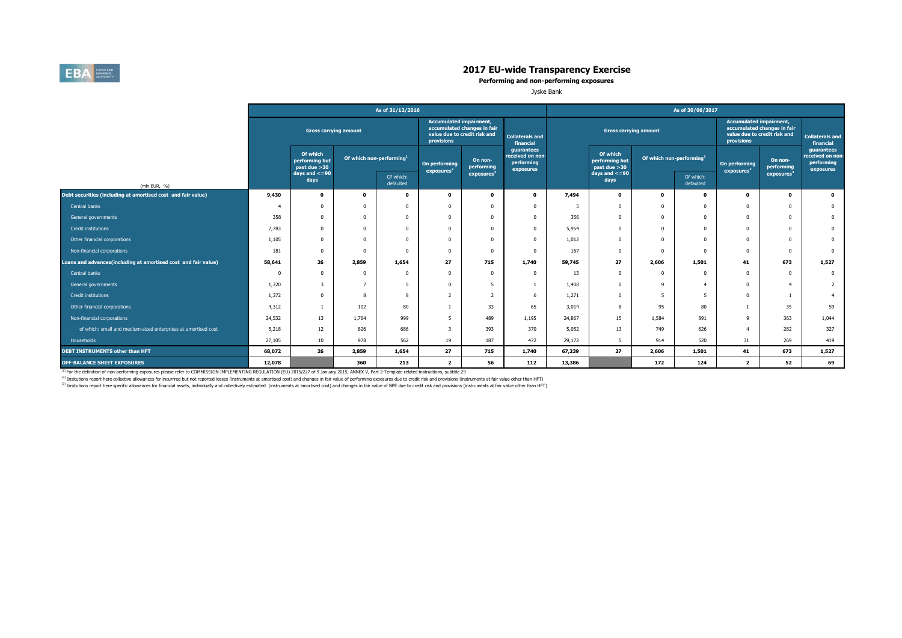

**Performing and non-performing exposures**

Jyske Bank

|                                                                |        |                                            |                                      | As of 31/12/2016       |                                              |                                                             |                                                           |        |                                             |                                      | As of 30/06/2017       |                                              |                                                             |                                                           |
|----------------------------------------------------------------|--------|--------------------------------------------|--------------------------------------|------------------------|----------------------------------------------|-------------------------------------------------------------|-----------------------------------------------------------|--------|---------------------------------------------|--------------------------------------|------------------------|----------------------------------------------|-------------------------------------------------------------|-----------------------------------------------------------|
|                                                                |        | <b>Gross carrying amount</b>               |                                      |                        | <b>Accumulated impairment,</b><br>provisions | accumulated changes in fair<br>value due to credit risk and | <b>Collaterals and</b><br>financial                       |        | <b>Gross carrying amount</b>                |                                      |                        | <b>Accumulated impairment,</b><br>provisions | accumulated changes in fair<br>value due to credit risk and | <b>Collaterals and</b><br>financial                       |
|                                                                |        | Of which<br>performing but<br>past due >30 | Of which non-performing <sup>1</sup> |                        | On performing<br>exposures <sup>2</sup>      | On non-<br>performing                                       | guarantees<br>received on non-<br>performing<br>exposures |        | Of which<br>performing but<br>past due > 30 | Of which non-performing <sup>1</sup> |                        | On performing<br>exposures <sup>2</sup>      | On non-<br>performing                                       | quarantees<br>received on non-<br>performing<br>exposures |
| (mln EUR, %)                                                   |        | $days$ and $\lt=90$<br>days                |                                      | Of which:<br>defaulted |                                              | exposures                                                   |                                                           |        | days and $\lt=90$<br>days                   |                                      | Of which:<br>defaulted |                                              | exposures                                                   |                                                           |
| Debt securities (including at amortised cost and fair value)   | 9,430  | $\mathbf{o}$                               | 0                                    | $\Omega$               | $\mathbf{0}$                                 | $\Omega$                                                    | $\mathbf 0$                                               | 7,494  | $\mathbf 0$                                 | $\Omega$                             | $\Omega$               | $\Omega$                                     | $\mathbf{o}$                                                | $\bullet$                                                 |
| Central banks                                                  |        | 0                                          |                                      | $\Omega$               |                                              |                                                             | $\Omega$                                                  | -5     | $\Omega$                                    |                                      | $\Omega$               | $^{\circ}$                                   | $\Omega$                                                    | $\mathbf{0}$                                              |
| General governments                                            | 358    | 0                                          |                                      | $\Omega$               |                                              |                                                             | $\Omega$                                                  | 356    | $\Omega$                                    |                                      | $\Omega$               | $^{\circ}$                                   | $\Omega$                                                    | $\mathbf{0}$                                              |
| Credit institutions                                            | 7,783  | 0                                          |                                      | $\Omega$               |                                              |                                                             | $\Omega$                                                  | 5,954  | $\Omega$                                    |                                      | $\Omega$               | $^{\circ}$                                   | $\Omega$                                                    | $\mathbf 0$                                               |
| Other financial corporations                                   | 1,105  | 0                                          |                                      | $\Omega$               |                                              |                                                             | $\Omega$                                                  | 1,012  | $\Omega$                                    |                                      | $\Omega$               | $\Omega$                                     | $\Omega$                                                    | $\mathbf 0$                                               |
| Non-financial corporations                                     | 181    | $\Omega$                                   |                                      | $\Omega$               | $\Omega$                                     |                                                             | $\Omega$                                                  | 167    | $\Omega$                                    |                                      | $\Omega$               | $^{\circ}$                                   | $\Omega$                                                    | $\overline{0}$                                            |
| Loans and advances(including at amortised cost and fair value) | 58,641 | 26                                         | 2,859                                | 1,654                  | 27                                           | 715                                                         | 1,740                                                     | 59,745 | 27                                          | 2,606                                | 1,501                  | 41                                           | 673                                                         | 1,527                                                     |
| Central banks                                                  |        | $\Omega$                                   |                                      | $\Omega$               | $\Omega$                                     | $\Omega$                                                    | $^{\circ}$                                                | 13     | $\Omega$                                    |                                      | $\Omega$               | $^{\circ}$                                   | $\overline{\mathbf{0}}$                                     | $\mathbf 0$                                               |
| General governments                                            | 1,320  | 3                                          |                                      | -5                     | $\Omega$                                     | 5                                                           |                                                           | 1,408  | $\Omega$                                    | ۹                                    | $\Delta$               | $\mathbf 0$                                  | $\overline{4}$                                              | $\overline{2}$                                            |
| Credit institutions                                            | 1,372  | 0                                          |                                      | 8                      | $\overline{2}$                               | $\overline{\phantom{0}}$                                    | -6                                                        | 1,271  | 0                                           |                                      | 5                      | $^{\circ}$                                   |                                                             | $\overline{4}$                                            |
| Other financial corporations                                   | 4,312  |                                            | 102                                  | 80                     |                                              | 33                                                          | 65                                                        | 3,014  | 6                                           | 95                                   | 80                     |                                              | 35                                                          | 59                                                        |
| Non-financial corporations                                     | 24,532 | 13                                         | 1,764                                | 999                    |                                              | 489                                                         | 1,195                                                     | 24,867 | 15                                          | 1,584                                | 891                    | -9                                           | 363                                                         | 1,044                                                     |
| of which: small and medium-sized enterprises at amortised cost | 5,218  | 12                                         | 826                                  | 686                    |                                              | 393                                                         | 370                                                       | 5,052  | 13                                          | 749                                  | 626                    | $\overline{4}$                               | 282                                                         | 327                                                       |
| Households                                                     | 27,105 | 10 <sup>10</sup>                           | 978                                  | 562                    | 19                                           | 187                                                         | 472                                                       | 29,172 | 5                                           | 914                                  | 520                    | 31                                           | 269                                                         | 419                                                       |
| DEBT INSTRUMENTS other than HFT                                | 68,072 | 26                                         | 2,859                                | 1,654                  | 27                                           | 715                                                         | 1,740                                                     | 67,239 | 27                                          | 2,606                                | 1,501                  | 41                                           | 673                                                         | 1,527                                                     |
| <b>OFF-BALANCE SHEET EXPOSURES</b>                             | 12,078 |                                            | 360                                  | 213                    | $\overline{2}$                               | 56                                                          | 112                                                       | 13,386 |                                             | 172                                  | 124                    | $\overline{2}$                               | 52                                                          | 69                                                        |

<sup>(1)</sup> For the definition of non-performing exposures please refer to COMMISSION IMPLEMENTING REGULATION (EU) 2015/227 of 9 January 2015, ANNEX V, Part 2-Template related instructions, subtitle 29

<sup>(2)</sup> Insitutions report here collective allowances for incurrred but not reported losses (instruments at amortised cost) and changes in fair value of performing exposures due to credit risk and provisions (instruments at